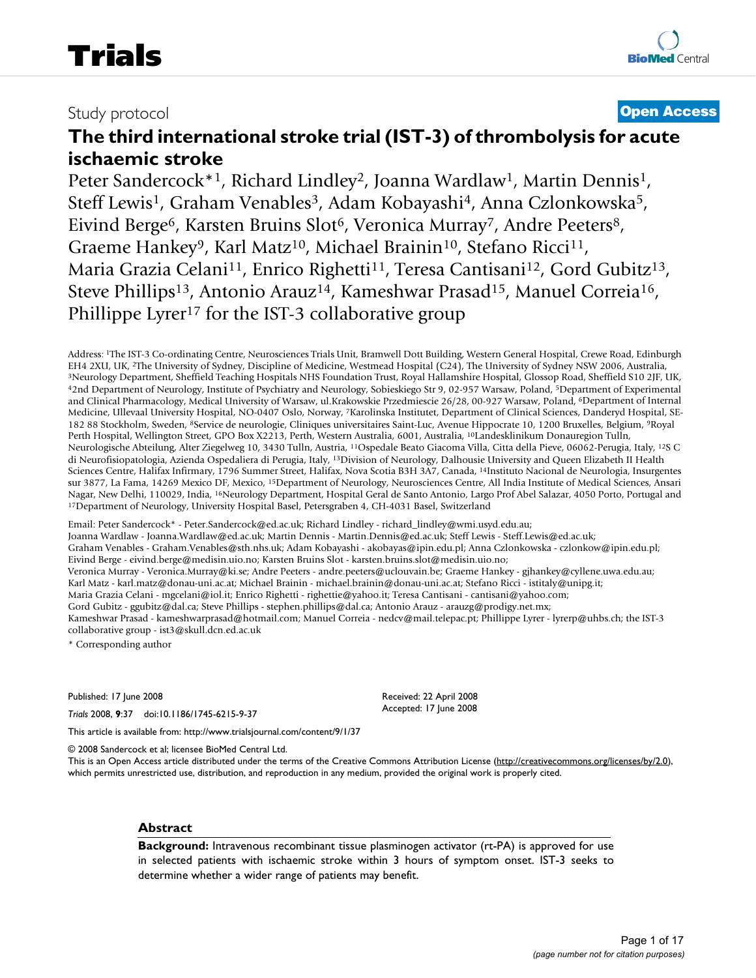# Study protocol **[Open Access](http://www.biomedcentral.com/info/about/charter/)**

# **The third international stroke trial (IST-3) of thrombolysis for acute ischaemic stroke**

Peter Sandercock\*<sup>1</sup>, Richard Lindley<sup>2</sup>, Joanna Wardlaw<sup>1</sup>, Martin Dennis<sup>1</sup>, Steff Lewis<sup>1</sup>, Graham Venables<sup>3</sup>, Adam Kobayashi<sup>4</sup>, Anna Czlonkowska<sup>5</sup>, Eivind Berge<sup>6</sup>, Karsten Bruins Slot<sup>6</sup>, Veronica Murray<sup>7</sup>, Andre Peeters<sup>8</sup>, Graeme Hankey<sup>9</sup>, Karl Matz<sup>10</sup>, Michael Brainin<sup>10</sup>, Stefano Ricci<sup>11</sup>, Maria Grazia Celani<sup>11</sup>, Enrico Righetti<sup>11</sup>, Teresa Cantisani<sup>12</sup>, Gord Gubitz<sup>13</sup>, Steve Phillips<sup>13</sup>, Antonio Arauz<sup>14</sup>, Kameshwar Prasad<sup>15</sup>, Manuel Correia<sup>16</sup>, Phillippe Lyrer<sup>17</sup> for the IST-3 collaborative group

Address: <sup>1</sup>The IST-3 Co-ordinating Centre, Neurosciences Trials Unit, Bramwell Dott Building, Western General Hospital, Crewe Road, Edinburgh EH4 2XU, UK, <sup>2</sup>The University of Sydney, Discipline of Medicine, Westmead Hosp <sup>3</sup>Neurology Department, Sheffield Teaching Hospitals NHS Foundation Trust, Royal Hallamshire Hospital, Glossop Road, Sheffield S10 2JF, UK, 42nd Department of Neurology, Institute of Psychiatry and Neurology, Sobieskiego and Clinical Pharmacology, Medical University of Warsaw, ul.Krakowskie Przedmiescie 26/28, 00-927 Warsaw, Poland, 6Department of Internal Medicine, Ullevaal University Hospital, NO-0407 Oslo, Norway, 7Karolinska Institutet, Department of Clinical Sciences, Danderyd Hospital, SE-182 88 Stockholm, Sweden, 8Service de neurologie, Cliniques universitaires Saint-Luc, Avenue Hippocrate 10, 1200 Bruxelles, Belgium, 9Royal Perth Hospital, Wellington Street, GPO Box X2213, Perth, Western Australia, 6001, Australia, 10Landesklinikum Donauregion Tulln, Neurologische Abteilung, Alter Ziegelweg 10, 3430 Tulln, Austria, 11Ospedale Beato Giacoma Villa, Citta della Pieve, 06062-Perugia, Italy, 12S C di Neurofisiopatologia, Azienda Ospedaliera di Perugia, Italy, 13Division of Neurology, Dalhousie University and Queen Elizabeth II Health Sciences Centre, Halifax Infirmary, 1796 Summer Street, Halifax, Nova Scotia B3H 3A7, Canada, 14Instituto Nacional de Neurologia, Insurgentes sur 3877, La Fama, 14269 Mexico DF, Mexico, 15Department of Neurology, Neurosciences Centre, All India Institute of Medical Sciences, Ansari Nagar, New Delhi, 110029, India, <sup>16</sup>Neurology Department, Hospital Geral de Santo Antonio, Largo Prof Abel Salazar, 4050 Porto, Portugal and <sup>17</sup>Department of Neurology, University Hospital Basel, Petersgraben 4, CH-4031

Email: Peter Sandercock\* - Peter.Sandercock@ed.ac.uk; Richard Lindley - richard\_lindley@wmi.usyd.edu.au; Joanna Wardlaw - Joanna.Wardlaw@ed.ac.uk; Martin Dennis - Martin.Dennis@ed.ac.uk; Steff Lewis - Steff.Lewis@ed.ac.uk; Graham Venables - Graham.Venables@sth.nhs.uk; Adam Kobayashi - akobayas@ipin.edu.pl; Anna Czlonkowska - czlonkow@ipin.edu.pl; Eivind Berge - eivind.berge@medisin.uio.no; Karsten Bruins Slot - karsten.bruins.slot@medisin.uio.no; Veronica Murray - Veronica.Murray@ki.se; Andre Peeters - andre.peeters@uclouvain.be; Graeme Hankey - gjhankey@cyllene.uwa.edu.au; Karl Matz - karl.matz@donau-uni.ac.at; Michael Brainin - michael.brainin@donau-uni.ac.at; Stefano Ricci - istitaly@unipg.it; Maria Grazia Celani - mgcelani@iol.it; Enrico Righetti - righettie@yahoo.it; Teresa Cantisani - cantisani@yahoo.com; Gord Gubitz - ggubitz@dal.ca; Steve Phillips - stephen.phillips@dal.ca; Antonio Arauz - arauzg@prodigy.net.mx; Kameshwar Prasad - kameshwarprasad@hotmail.com; Manuel Correia - nedcv@mail.telepac.pt; Phillippe Lyrer - lyrerp@uhbs.ch; the IST-3 collaborative group - ist3@skull.dcn.ed.ac.uk

\* Corresponding author

Published: 17 June 2008

*Trials* 2008, **9**:37 doi:10.1186/1745-6215-9-37

Received: 22 April 2008 Accepted: 17 June 2008

[This article is available from: http://www.trialsjournal.com/content/9/1/37](http://www.trialsjournal.com/content/9/1/37) © 2008 Sandercock et al; licensee BioMed Central Ltd.

This is an Open Access article distributed under the terms of the Creative Commons Attribution License [\(http://creativecommons.org/licenses/by/2.0\)](http://creativecommons.org/licenses/by/2.0), which permits unrestricted use, distribution, and reproduction in any medium, provided the original work is properly cited.

# **Abstract**

**Background:** Intravenous recombinant tissue plasminogen activator (rt-PA) is approved for use in selected patients with ischaemic stroke within 3 hours of symptom onset. IST-3 seeks to determine whether a wider range of patients may benefit.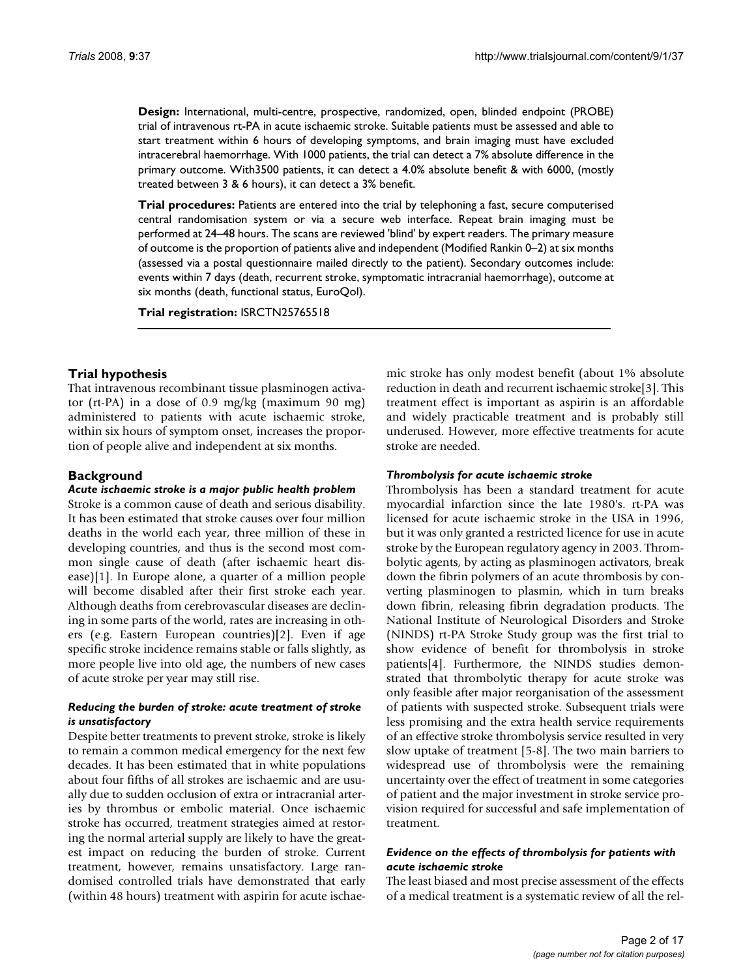**Design:** International, multi-centre, prospective, randomized, open, blinded endpoint (PROBE) trial of intravenous rt-PA in acute ischaemic stroke. Suitable patients must be assessed and able to start treatment within 6 hours of developing symptoms, and brain imaging must have excluded intracerebral haemorrhage. With 1000 patients, the trial can detect a 7% absolute difference in the primary outcome. With3500 patients, it can detect a 4.0% absolute benefit & with 6000, (mostly treated between 3 & 6 hours), it can detect a 3% benefit.

**Trial procedures:** Patients are entered into the trial by telephoning a fast, secure computerised central randomisation system or via a secure web interface. Repeat brain imaging must be performed at 24–48 hours. The scans are reviewed 'blind' by expert readers. The primary measure of outcome is the proportion of patients alive and independent (Modified Rankin 0–2) at six months (assessed via a postal questionnaire mailed directly to the patient). Secondary outcomes include: events within 7 days (death, recurrent stroke, symptomatic intracranial haemorrhage), outcome at six months (death, functional status, EuroQol).

**Trial registration:** ISRCTN25765518

# **Trial hypothesis**

That intravenous recombinant tissue plasminogen activator (rt-PA) in a dose of 0.9 mg/kg (maximum 90 mg) administered to patients with acute ischaemic stroke, within six hours of symptom onset, increases the proportion of people alive and independent at six months.

# **Background**

#### *Acute ischaemic stroke is a major public health problem*

Stroke is a common cause of death and serious disability. It has been estimated that stroke causes over four million deaths in the world each year, three million of these in developing countries, and thus is the second most common single cause of death (after ischaemic heart disease)[1]. In Europe alone, a quarter of a million people will become disabled after their first stroke each year. Although deaths from cerebrovascular diseases are declining in some parts of the world, rates are increasing in others (e.g. Eastern European countries)[2]. Even if age specific stroke incidence remains stable or falls slightly, as more people live into old age, the numbers of new cases of acute stroke per year may still rise.

#### *Reducing the burden of stroke: acute treatment of stroke is unsatisfactory*

Despite better treatments to prevent stroke, stroke is likely to remain a common medical emergency for the next few decades. It has been estimated that in white populations about four fifths of all strokes are ischaemic and are usually due to sudden occlusion of extra or intracranial arteries by thrombus or embolic material. Once ischaemic stroke has occurred, treatment strategies aimed at restoring the normal arterial supply are likely to have the greatest impact on reducing the burden of stroke. Current treatment, however, remains unsatisfactory. Large randomised controlled trials have demonstrated that early (within 48 hours) treatment with aspirin for acute ischaemic stroke has only modest benefit (about 1% absolute reduction in death and recurrent ischaemic stroke[3]. This treatment effect is important as aspirin is an affordable and widely practicable treatment and is probably still underused. However, more effective treatments for acute stroke are needed.

#### *Thrombolysis for acute ischaemic stroke*

Thrombolysis has been a standard treatment for acute myocardial infarction since the late 1980's. rt-PA was licensed for acute ischaemic stroke in the USA in 1996, but it was only granted a restricted licence for use in acute stroke by the European regulatory agency in 2003. Thrombolytic agents, by acting as plasminogen activators, break down the fibrin polymers of an acute thrombosis by converting plasminogen to plasmin, which in turn breaks down fibrin, releasing fibrin degradation products. The National Institute of Neurological Disorders and Stroke (NINDS) rt-PA Stroke Study group was the first trial to show evidence of benefit for thrombolysis in stroke patients[4]. Furthermore, the NINDS studies demonstrated that thrombolytic therapy for acute stroke was only feasible after major reorganisation of the assessment of patients with suspected stroke. Subsequent trials were less promising and the extra health service requirements of an effective stroke thrombolysis service resulted in very slow uptake of treatment [5-8]. The two main barriers to widespread use of thrombolysis were the remaining uncertainty over the effect of treatment in some categories of patient and the major investment in stroke service provision required for successful and safe implementation of treatment.

# *Evidence on the effects of thrombolysis for patients with acute ischaemic stroke*

The least biased and most precise assessment of the effects of a medical treatment is a systematic review of all the rel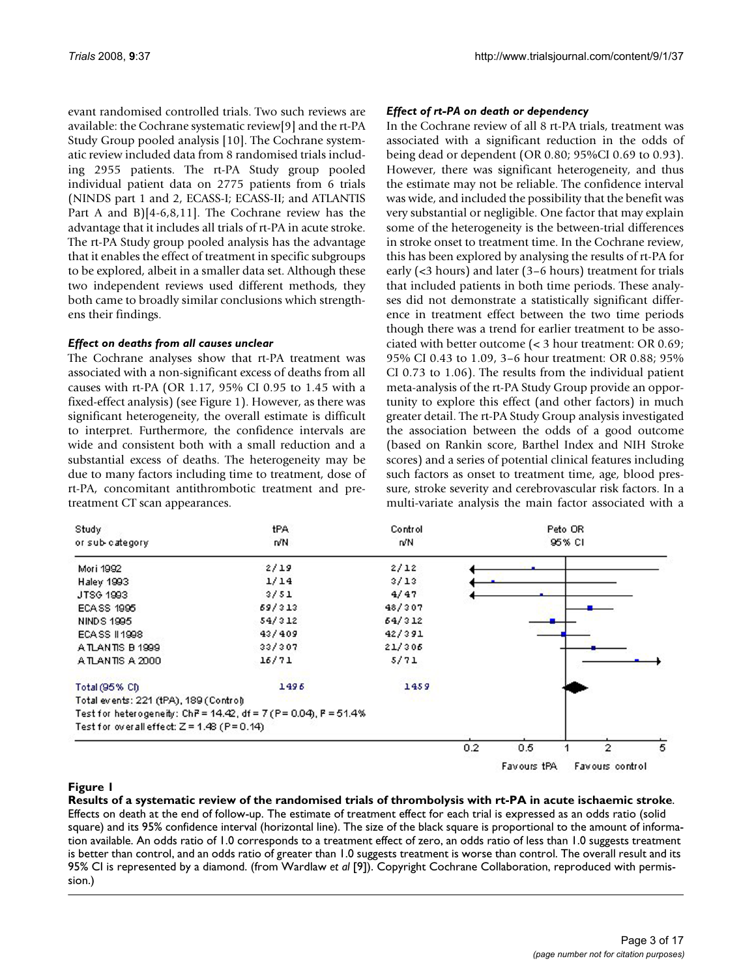evant randomised controlled trials. Two such reviews are available: the Cochrane systematic review[9] and the rt-PA Study Group pooled analysis [10]. The Cochrane systematic review included data from 8 randomised trials including 2955 patients. The rt-PA Study group pooled individual patient data on 2775 patients from 6 trials (NINDS part 1 and 2, ECASS-I; ECASS-II; and ATLANTIS Part A and B)[4-6,8,11]. The Cochrane review has the advantage that it includes all trials of rt-PA in acute stroke. The rt-PA Study group pooled analysis has the advantage that it enables the effect of treatment in specific subgroups to be explored, albeit in a smaller data set. Although these two independent reviews used different methods, they both came to broadly similar conclusions which strengthens their findings.

# *Effect on deaths from all causes unclear*

The Cochrane analyses show that rt-PA treatment was associated with a non-significant excess of deaths from all causes with rt-PA (OR 1.17, 95% CI 0.95 to 1.45 with a fixed-effect analysis) (see Figure 1). However, as there was significant heterogeneity, the overall estimate is difficult to interpret. Furthermore, the confidence intervals are wide and consistent both with a small reduction and a substantial excess of deaths. The heterogeneity may be due to many factors including time to treatment, dose of rt-PA, concomitant antithrombotic treatment and pretreatment CT scan appearances.

# *Effect of rt-PA on death or dependency*

In the Cochrane review of all 8 rt-PA trials, treatment was associated with a significant reduction in the odds of being dead or dependent (OR 0.80; 95%CI 0.69 to 0.93). However, there was significant heterogeneity, and thus the estimate may not be reliable. The confidence interval was wide, and included the possibility that the benefit was very substantial or negligible. One factor that may explain some of the heterogeneity is the between-trial differences in stroke onset to treatment time. In the Cochrane review, this has been explored by analysing the results of rt-PA for early (<3 hours) and later (3–6 hours) treatment for trials that included patients in both time periods. These analyses did not demonstrate a statistically significant difference in treatment effect between the two time periods though there was a trend for earlier treatment to be associated with better outcome (< 3 hour treatment: OR 0.69; 95% CI 0.43 to 1.09, 3–6 hour treatment: OR 0.88; 95% CI 0.73 to 1.06). The results from the individual patient meta-analysis of the rt-PA Study Group provide an opportunity to explore this effect (and other factors) in much greater detail. The rt-PA Study Group analysis investigated the association between the odds of a good outcome (based on Rankin score, Barthel Index and NIH Stroke scores) and a series of potential clinical features including such factors as onset to treatment time, age, blood pressure, stroke severity and cerebrovascular risk factors. In a multi-variate analysis the main factor associated with a

| Study<br>or sub-category                                          | tPA<br>n/N | Control<br>n/N | Peto OR<br>95% CI |                    |  |                 |   |
|-------------------------------------------------------------------|------------|----------------|-------------------|--------------------|--|-----------------|---|
| Mori 1992                                                         | 2/19       | 2/12           |                   |                    |  |                 |   |
| Haley 1993                                                        | 1/14       | 3/13           |                   |                    |  |                 |   |
| JTSG 1993                                                         | 3/51       | 4/47           |                   |                    |  |                 |   |
| ECA SS 1995                                                       | 69/313     | 48/307         |                   |                    |  |                 |   |
| <b>NINDS 1995</b>                                                 | 54/312     | 64/312         |                   |                    |  |                 |   |
| ECA SS 11998                                                      | 43/409     | 42/391         |                   |                    |  |                 |   |
| A TLANTIS B 1999                                                  | 33/307     | 21/306         |                   |                    |  |                 |   |
| A TLANTIS A 2000                                                  | 16/71      | 5/71           |                   |                    |  |                 |   |
| Total (95% CI)                                                    | 1496       | 1459           |                   |                    |  |                 |   |
| Total events: 221 (tPA), 189 (Control)                            |            |                |                   |                    |  |                 |   |
| Test for heterogeneity: ChP = 14.42, df = 7 (P = 0.04), P = 51.4% |            |                |                   |                    |  |                 |   |
| Test for overall effect: $Z = 1.48$ (P=0.14)                      |            |                |                   |                    |  |                 |   |
|                                                                   |            |                | 0.2               | 0.5                |  | $\overline{2}$  | 5 |
|                                                                   |            |                |                   | <b>Eavours tPA</b> |  | Favours control |   |

# **Figure 1** Results of a systematic review of the randomised trials of thrombolysis with rt-PA in acute ischaemic stroke

**Results of a systematic review of the randomised trials of thrombolysis with rt-PA in acute ischaemic stroke**. Effects on death at the end of follow-up. The estimate of treatment effect for each trial is expressed as an odds ratio (solid square) and its 95% confidence interval (horizontal line). The size of the black square is proportional to the amount of information available. An odds ratio of 1.0 corresponds to a treatment effect of zero, an odds ratio of less than 1.0 suggests treatment is better than control, and an odds ratio of greater than 1.0 suggests treatment is worse than control. The overall result and its 95% CI is represented by a diamond. (from Wardlaw *et al* [9]). Copyright Cochrane Collaboration, reproduced with permission.)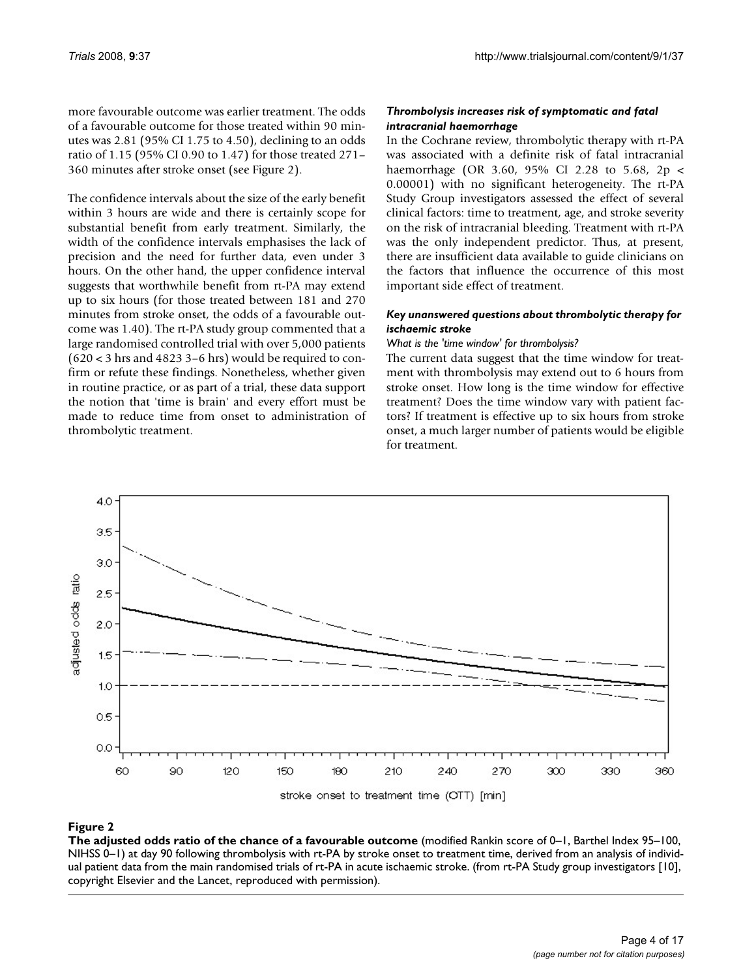more favourable outcome was earlier treatment. The odds of a favourable outcome for those treated within 90 minutes was 2.81 (95% CI 1.75 to 4.50), declining to an odds ratio of 1.15 (95% CI 0.90 to 1.47) for those treated 271– 360 minutes after stroke onset (see Figure 2).

The confidence intervals about the size of the early benefit within 3 hours are wide and there is certainly scope for substantial benefit from early treatment. Similarly, the width of the confidence intervals emphasises the lack of precision and the need for further data, even under 3 hours. On the other hand, the upper confidence interval suggests that worthwhile benefit from rt-PA may extend up to six hours (for those treated between 181 and 270 minutes from stroke onset, the odds of a favourable outcome was 1.40). The rt-PA study group commented that a large randomised controlled trial with over 5,000 patients  $(620 < 3$  hrs and 4823 3–6 hrs) would be required to confirm or refute these findings. Nonetheless, whether given in routine practice, or as part of a trial, these data support the notion that 'time is brain' and every effort must be made to reduce time from onset to administration of thrombolytic treatment.

# *Thrombolysis increases risk of symptomatic and fatal intracranial haemorrhage*

In the Cochrane review, thrombolytic therapy with rt-PA was associated with a definite risk of fatal intracranial haemorrhage (OR 3.60, 95% CI 2.28 to 5.68, 2p < 0.00001) with no significant heterogeneity. The rt-PA Study Group investigators assessed the effect of several clinical factors: time to treatment, age, and stroke severity on the risk of intracranial bleeding. Treatment with rt-PA was the only independent predictor. Thus, at present, there are insufficient data available to guide clinicians on the factors that influence the occurrence of this most important side effect of treatment.

# *Key unanswered questions about thrombolytic therapy for ischaemic stroke*

# *What is the 'time window' for thrombolysis?*

The current data suggest that the time window for treatment with thrombolysis may extend out to 6 hours from stroke onset. How long is the time window for effective treatment? Does the time window vary with patient factors? If treatment is effective up to six hours from stroke onset, a much larger number of patients would be eligible for treatment.



Figure 2 and 2008 and 2008 and 2008 and 2008 and 2008 and 2008 and 2008 and 2008 and 2008 and 2008 and 2008 an **The adjusted odds ratio of the chance of a favourable outcome** (modified Rankin score of 0–1, Barthel Index 95–100, NIHSS 0–1) at day 90 following thrombolysis with rt-PA by stroke onset to treatment time, derived from an analysis of individual patient data from the main randomised trials of rt-PA in acute ischaemic stroke. (from rt-PA Study group investigators [10], copyright Elsevier and the Lancet, reproduced with permission).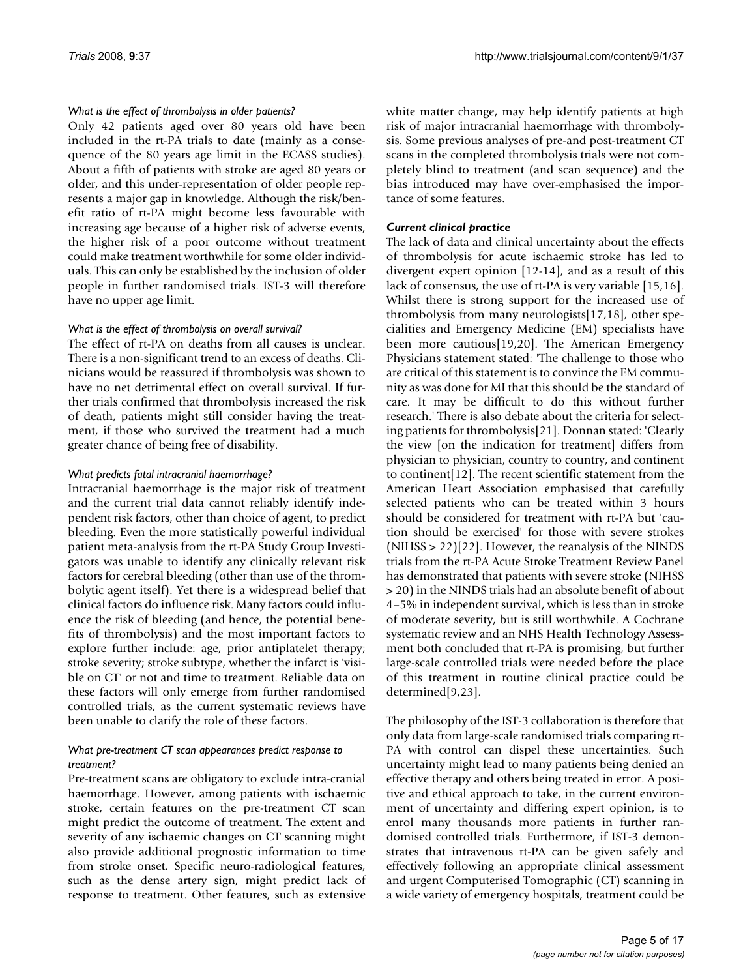#### *What is the effect of thrombolysis in older patients?*

Only 42 patients aged over 80 years old have been included in the rt-PA trials to date (mainly as a consequence of the 80 years age limit in the ECASS studies). About a fifth of patients with stroke are aged 80 years or older, and this under-representation of older people represents a major gap in knowledge. Although the risk/benefit ratio of rt-PA might become less favourable with increasing age because of a higher risk of adverse events, the higher risk of a poor outcome without treatment could make treatment worthwhile for some older individuals. This can only be established by the inclusion of older people in further randomised trials. IST-3 will therefore have no upper age limit.

#### *What is the effect of thrombolysis on overall survival?*

The effect of rt-PA on deaths from all causes is unclear. There is a non-significant trend to an excess of deaths. Clinicians would be reassured if thrombolysis was shown to have no net detrimental effect on overall survival. If further trials confirmed that thrombolysis increased the risk of death, patients might still consider having the treatment, if those who survived the treatment had a much greater chance of being free of disability.

#### *What predicts fatal intracranial haemorrhage?*

Intracranial haemorrhage is the major risk of treatment and the current trial data cannot reliably identify independent risk factors, other than choice of agent, to predict bleeding. Even the more statistically powerful individual patient meta-analysis from the rt-PA Study Group Investigators was unable to identify any clinically relevant risk factors for cerebral bleeding (other than use of the thrombolytic agent itself). Yet there is a widespread belief that clinical factors do influence risk. Many factors could influence the risk of bleeding (and hence, the potential benefits of thrombolysis) and the most important factors to explore further include: age, prior antiplatelet therapy; stroke severity; stroke subtype, whether the infarct is 'visible on CT' or not and time to treatment. Reliable data on these factors will only emerge from further randomised controlled trials, as the current systematic reviews have been unable to clarify the role of these factors.

#### *What pre-treatment CT scan appearances predict response to treatment?*

Pre-treatment scans are obligatory to exclude intra-cranial haemorrhage. However, among patients with ischaemic stroke, certain features on the pre-treatment CT scan might predict the outcome of treatment. The extent and severity of any ischaemic changes on CT scanning might also provide additional prognostic information to time from stroke onset. Specific neuro-radiological features, such as the dense artery sign, might predict lack of response to treatment. Other features, such as extensive white matter change, may help identify patients at high risk of major intracranial haemorrhage with thrombolysis. Some previous analyses of pre-and post-treatment CT scans in the completed thrombolysis trials were not completely blind to treatment (and scan sequence) and the bias introduced may have over-emphasised the importance of some features.

#### *Current clinical practice*

The lack of data and clinical uncertainty about the effects of thrombolysis for acute ischaemic stroke has led to divergent expert opinion [12-14], and as a result of this lack of consensus, the use of rt-PA is very variable [15,16]. Whilst there is strong support for the increased use of thrombolysis from many neurologists[17,18], other specialities and Emergency Medicine (EM) specialists have been more cautious[19,20]. The American Emergency Physicians statement stated: 'The challenge to those who are critical of this statement is to convince the EM community as was done for MI that this should be the standard of care. It may be difficult to do this without further research.' There is also debate about the criteria for selecting patients for thrombolysis[21]. Donnan stated: 'Clearly the view [on the indication for treatment] differs from physician to physician, country to country, and continent to continent[12]. The recent scientific statement from the American Heart Association emphasised that carefully selected patients who can be treated within 3 hours should be considered for treatment with rt-PA but 'caution should be exercised' for those with severe strokes  $(NIHSS > 22)[22]$ . However, the reanalysis of the NINDS trials from the rt-PA Acute Stroke Treatment Review Panel has demonstrated that patients with severe stroke (NIHSS > 20) in the NINDS trials had an absolute benefit of about 4–5% in independent survival, which is less than in stroke of moderate severity, but is still worthwhile. A Cochrane systematic review and an NHS Health Technology Assessment both concluded that rt-PA is promising, but further large-scale controlled trials were needed before the place of this treatment in routine clinical practice could be determined[9,23].

The philosophy of the IST-3 collaboration is therefore that only data from large-scale randomised trials comparing rt-PA with control can dispel these uncertainties. Such uncertainty might lead to many patients being denied an effective therapy and others being treated in error. A positive and ethical approach to take, in the current environment of uncertainty and differing expert opinion, is to enrol many thousands more patients in further randomised controlled trials. Furthermore, if IST-3 demonstrates that intravenous rt-PA can be given safely and effectively following an appropriate clinical assessment and urgent Computerised Tomographic (CT) scanning in a wide variety of emergency hospitals, treatment could be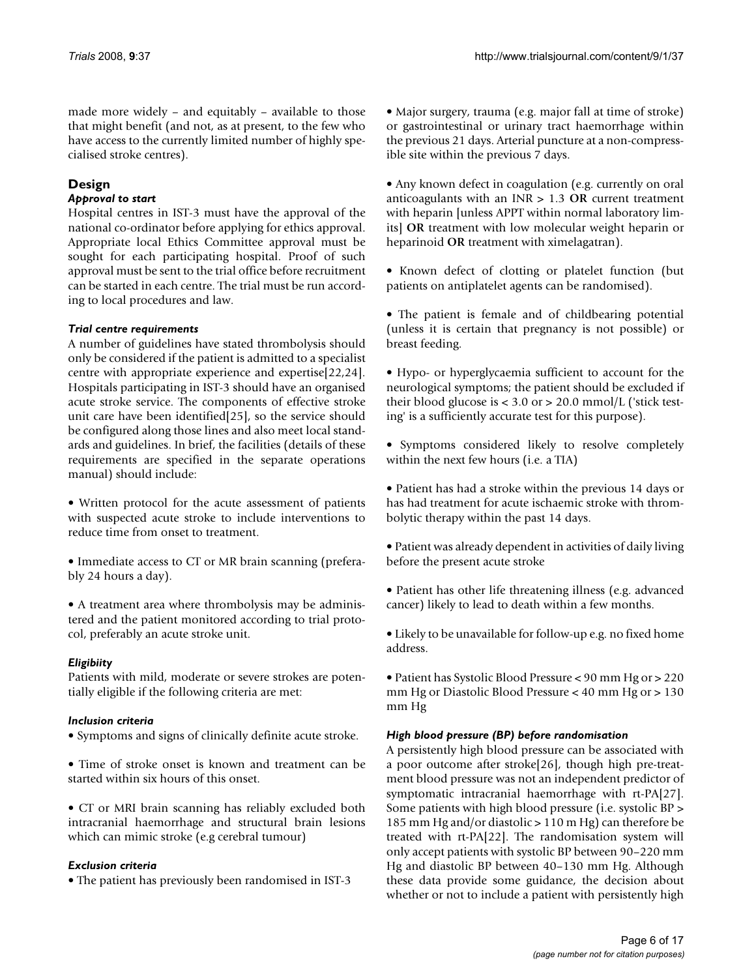made more widely – and equitably – available to those that might benefit (and not, as at present, to the few who have access to the currently limited number of highly specialised stroke centres).

# **Design**

# *Approval to start*

Hospital centres in IST-3 must have the approval of the national co-ordinator before applying for ethics approval. Appropriate local Ethics Committee approval must be sought for each participating hospital. Proof of such approval must be sent to the trial office before recruitment can be started in each centre. The trial must be run according to local procedures and law.

# *Trial centre requirements*

A number of guidelines have stated thrombolysis should only be considered if the patient is admitted to a specialist centre with appropriate experience and expertise[22,24]. Hospitals participating in IST-3 should have an organised acute stroke service. The components of effective stroke unit care have been identified[25], so the service should be configured along those lines and also meet local standards and guidelines. In brief, the facilities (details of these requirements are specified in the separate operations manual) should include:

• Written protocol for the acute assessment of patients with suspected acute stroke to include interventions to reduce time from onset to treatment.

• Immediate access to CT or MR brain scanning (preferably 24 hours a day).

• A treatment area where thrombolysis may be administered and the patient monitored according to trial protocol, preferably an acute stroke unit.

# *Eligibiity*

Patients with mild, moderate or severe strokes are potentially eligible if the following criteria are met:

#### *Inclusion criteria*

- Symptoms and signs of clinically definite acute stroke.
- Time of stroke onset is known and treatment can be started within six hours of this onset.

• CT or MRI brain scanning has reliably excluded both intracranial haemorrhage and structural brain lesions which can mimic stroke (e.g cerebral tumour)

#### *Exclusion criteria*

• The patient has previously been randomised in IST-3

• Major surgery, trauma (e.g. major fall at time of stroke) or gastrointestinal or urinary tract haemorrhage within the previous 21 days. Arterial puncture at a non-compressible site within the previous 7 days.

• Any known defect in coagulation (e.g. currently on oral anticoagulants with an INR > 1.3 **OR** current treatment with heparin [unless APPT within normal laboratory limits] **OR** treatment with low molecular weight heparin or heparinoid **OR** treatment with ximelagatran).

• Known defect of clotting or platelet function (but patients on antiplatelet agents can be randomised).

• The patient is female and of childbearing potential (unless it is certain that pregnancy is not possible) or breast feeding.

• Hypo- or hyperglycaemia sufficient to account for the neurological symptoms; the patient should be excluded if their blood glucose is  $<$  3.0 or  $>$  20.0 mmol/L ('stick testing' is a sufficiently accurate test for this purpose).

• Symptoms considered likely to resolve completely within the next few hours (i.e. a TIA)

• Patient has had a stroke within the previous 14 days or has had treatment for acute ischaemic stroke with thrombolytic therapy within the past 14 days.

• Patient was already dependent in activities of daily living before the present acute stroke

• Patient has other life threatening illness (e.g. advanced cancer) likely to lead to death within a few months.

• Likely to be unavailable for follow-up e.g. no fixed home address.

• Patient has Systolic Blood Pressure < 90 mm Hg or > 220 mm Hg or Diastolic Blood Pressure < 40 mm Hg or > 130 mm Hg

# *High blood pressure (BP) before randomisation*

A persistently high blood pressure can be associated with a poor outcome after stroke[26], though high pre-treatment blood pressure was not an independent predictor of symptomatic intracranial haemorrhage with rt-PA[27]. Some patients with high blood pressure (i.e. systolic BP > 185 mm Hg and/or diastolic > 110 m Hg) can therefore be treated with rt-PA[22]. The randomisation system will only accept patients with systolic BP between 90–220 mm Hg and diastolic BP between 40–130 mm Hg. Although these data provide some guidance, the decision about whether or not to include a patient with persistently high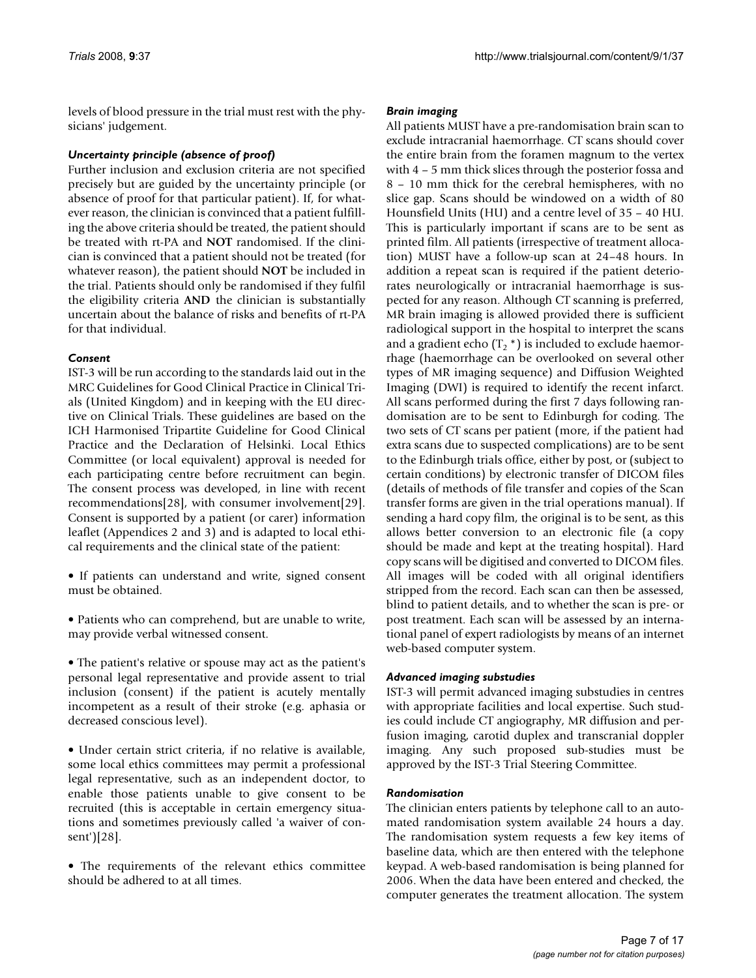levels of blood pressure in the trial must rest with the physicians' judgement.

# *Uncertainty principle (absence of proof)*

Further inclusion and exclusion criteria are not specified precisely but are guided by the uncertainty principle (or absence of proof for that particular patient). If, for whatever reason, the clinician is convinced that a patient fulfilling the above criteria should be treated, the patient should be treated with rt-PA and **NOT** randomised. If the clinician is convinced that a patient should not be treated (for whatever reason), the patient should **NOT** be included in the trial. Patients should only be randomised if they fulfil the eligibility criteria **AND** the clinician is substantially uncertain about the balance of risks and benefits of rt-PA for that individual.

# *Consent*

IST-3 will be run according to the standards laid out in the MRC Guidelines for Good Clinical Practice in Clinical Trials (United Kingdom) and in keeping with the EU directive on Clinical Trials. These guidelines are based on the ICH Harmonised Tripartite Guideline for Good Clinical Practice and the Declaration of Helsinki. Local Ethics Committee (or local equivalent) approval is needed for each participating centre before recruitment can begin. The consent process was developed, in line with recent recommendations[28], with consumer involvement[29]. Consent is supported by a patient (or carer) information leaflet (Appendices 2 and 3) and is adapted to local ethical requirements and the clinical state of the patient:

- If patients can understand and write, signed consent must be obtained.
- Patients who can comprehend, but are unable to write, may provide verbal witnessed consent.
- The patient's relative or spouse may act as the patient's personal legal representative and provide assent to trial inclusion (consent) if the patient is acutely mentally incompetent as a result of their stroke (e.g. aphasia or decreased conscious level).
- Under certain strict criteria, if no relative is available, some local ethics committees may permit a professional legal representative, such as an independent doctor, to enable those patients unable to give consent to be recruited (this is acceptable in certain emergency situations and sometimes previously called 'a waiver of consent')[28].
- The requirements of the relevant ethics committee should be adhered to at all times.

# *Brain imaging*

All patients MUST have a pre-randomisation brain scan to exclude intracranial haemorrhage. CT scans should cover the entire brain from the foramen magnum to the vertex with 4 – 5 mm thick slices through the posterior fossa and 8 – 10 mm thick for the cerebral hemispheres, with no slice gap. Scans should be windowed on a width of 80 Hounsfield Units (HU) and a centre level of 35 – 40 HU. This is particularly important if scans are to be sent as printed film. All patients (irrespective of treatment allocation) MUST have a follow-up scan at 24–48 hours. In addition a repeat scan is required if the patient deteriorates neurologically or intracranial haemorrhage is suspected for any reason. Although CT scanning is preferred, MR brain imaging is allowed provided there is sufficient radiological support in the hospital to interpret the scans and a gradient echo  $(T, * )$  is included to exclude haemorrhage (haemorrhage can be overlooked on several other types of MR imaging sequence) and Diffusion Weighted Imaging (DWI) is required to identify the recent infarct. All scans performed during the first 7 days following randomisation are to be sent to Edinburgh for coding. The two sets of CT scans per patient (more, if the patient had extra scans due to suspected complications) are to be sent to the Edinburgh trials office, either by post, or (subject to certain conditions) by electronic transfer of DICOM files (details of methods of file transfer and copies of the Scan transfer forms are given in the trial operations manual). If sending a hard copy film, the original is to be sent, as this allows better conversion to an electronic file (a copy should be made and kept at the treating hospital). Hard copy scans will be digitised and converted to DICOM files. All images will be coded with all original identifiers stripped from the record. Each scan can then be assessed, blind to patient details, and to whether the scan is pre- or post treatment. Each scan will be assessed by an international panel of expert radiologists by means of an internet web-based computer system.

# *Advanced imaging substudies*

IST-3 will permit advanced imaging substudies in centres with appropriate facilities and local expertise. Such studies could include CT angiography, MR diffusion and perfusion imaging, carotid duplex and transcranial doppler imaging. Any such proposed sub-studies must be approved by the IST-3 Trial Steering Committee.

# *Randomisation*

The clinician enters patients by telephone call to an automated randomisation system available 24 hours a day. The randomisation system requests a few key items of baseline data, which are then entered with the telephone keypad. A web-based randomisation is being planned for 2006. When the data have been entered and checked, the computer generates the treatment allocation. The system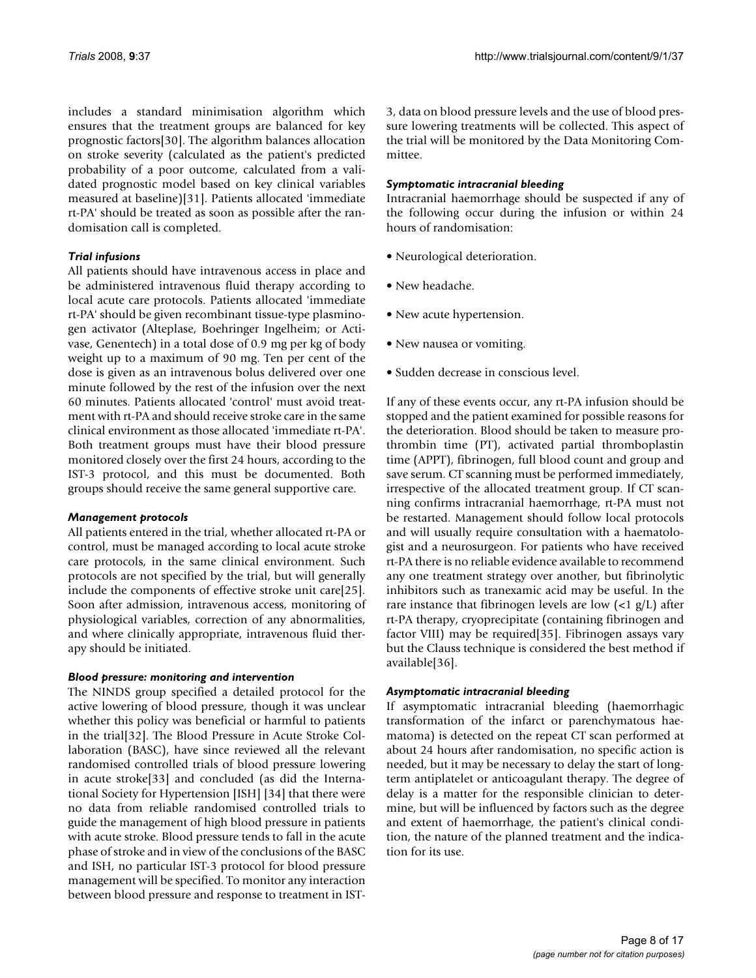includes a standard minimisation algorithm which ensures that the treatment groups are balanced for key prognostic factors[30]. The algorithm balances allocation on stroke severity (calculated as the patient's predicted probability of a poor outcome, calculated from a validated prognostic model based on key clinical variables measured at baseline)[31]. Patients allocated 'immediate rt-PA' should be treated as soon as possible after the randomisation call is completed.

# *Trial infusions*

All patients should have intravenous access in place and be administered intravenous fluid therapy according to local acute care protocols. Patients allocated 'immediate rt-PA' should be given recombinant tissue-type plasminogen activator (Alteplase, Boehringer Ingelheim; or Activase, Genentech) in a total dose of 0.9 mg per kg of body weight up to a maximum of 90 mg. Ten per cent of the dose is given as an intravenous bolus delivered over one minute followed by the rest of the infusion over the next 60 minutes. Patients allocated 'control' must avoid treatment with rt-PA and should receive stroke care in the same clinical environment as those allocated 'immediate rt-PA'. Both treatment groups must have their blood pressure monitored closely over the first 24 hours, according to the IST-3 protocol, and this must be documented. Both groups should receive the same general supportive care.

#### *Management protocols*

All patients entered in the trial, whether allocated rt-PA or control, must be managed according to local acute stroke care protocols, in the same clinical environment. Such protocols are not specified by the trial, but will generally include the components of effective stroke unit care[25]. Soon after admission, intravenous access, monitoring of physiological variables, correction of any abnormalities, and where clinically appropriate, intravenous fluid therapy should be initiated.

#### *Blood pressure: monitoring and intervention*

The NINDS group specified a detailed protocol for the active lowering of blood pressure, though it was unclear whether this policy was beneficial or harmful to patients in the trial[32]. The Blood Pressure in Acute Stroke Collaboration (BASC), have since reviewed all the relevant randomised controlled trials of blood pressure lowering in acute stroke[33] and concluded (as did the International Society for Hypertension [ISH] [34] that there were no data from reliable randomised controlled trials to guide the management of high blood pressure in patients with acute stroke. Blood pressure tends to fall in the acute phase of stroke and in view of the conclusions of the BASC and ISH, no particular IST-3 protocol for blood pressure management will be specified. To monitor any interaction between blood pressure and response to treatment in IST-

3, data on blood pressure levels and the use of blood pressure lowering treatments will be collected. This aspect of the trial will be monitored by the Data Monitoring Committee.

# *Symptomatic intracranial bleeding*

Intracranial haemorrhage should be suspected if any of the following occur during the infusion or within 24 hours of randomisation:

- Neurological deterioration.
- New headache.
- New acute hypertension.
- New nausea or vomiting.
- Sudden decrease in conscious level.

If any of these events occur, any rt-PA infusion should be stopped and the patient examined for possible reasons for the deterioration. Blood should be taken to measure prothrombin time (PT), activated partial thromboplastin time (APPT), fibrinogen, full blood count and group and save serum. CT scanning must be performed immediately, irrespective of the allocated treatment group. If CT scanning confirms intracranial haemorrhage, rt-PA must not be restarted. Management should follow local protocols and will usually require consultation with a haematologist and a neurosurgeon. For patients who have received rt-PA there is no reliable evidence available to recommend any one treatment strategy over another, but fibrinolytic inhibitors such as tranexamic acid may be useful. In the rare instance that fibrinogen levels are low  $\left($ <1 g/L) after rt-PA therapy, cryoprecipitate (containing fibrinogen and factor VIII) may be required[35]. Fibrinogen assays vary but the Clauss technique is considered the best method if available[36].

# *Asymptomatic intracranial bleeding*

If asymptomatic intracranial bleeding (haemorrhagic transformation of the infarct or parenchymatous haematoma) is detected on the repeat CT scan performed at about 24 hours after randomisation, no specific action is needed, but it may be necessary to delay the start of longterm antiplatelet or anticoagulant therapy. The degree of delay is a matter for the responsible clinician to determine, but will be influenced by factors such as the degree and extent of haemorrhage, the patient's clinical condition, the nature of the planned treatment and the indication for its use.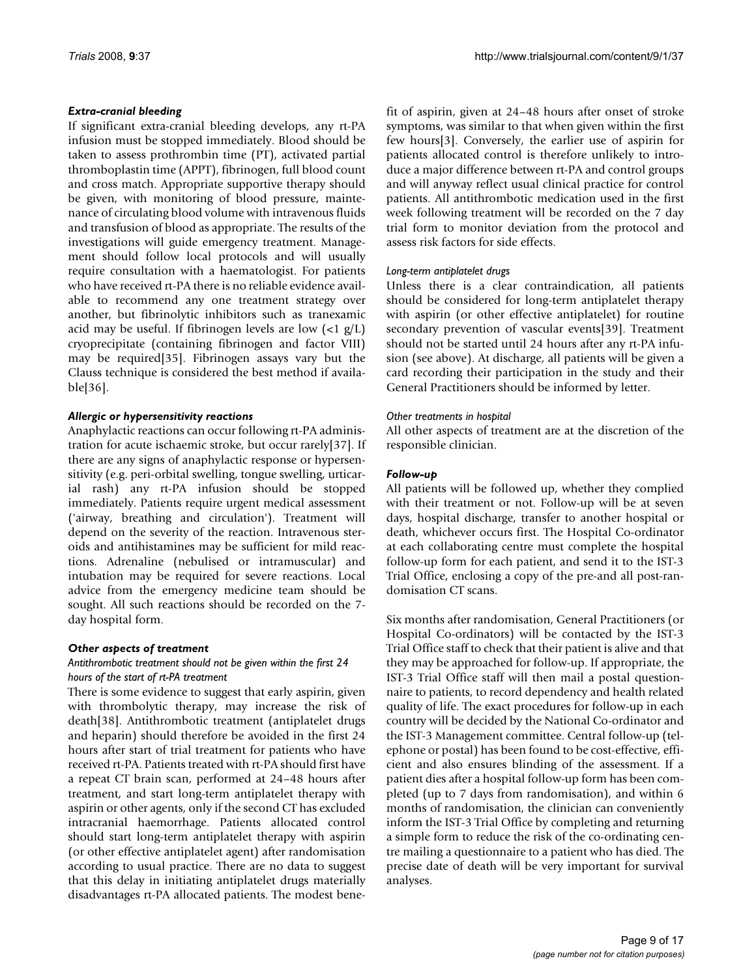# *Extra-cranial bleeding*

If significant extra-cranial bleeding develops, any rt-PA infusion must be stopped immediately. Blood should be taken to assess prothrombin time (PT), activated partial thromboplastin time (APPT), fibrinogen, full blood count and cross match. Appropriate supportive therapy should be given, with monitoring of blood pressure, maintenance of circulating blood volume with intravenous fluids and transfusion of blood as appropriate. The results of the investigations will guide emergency treatment. Management should follow local protocols and will usually require consultation with a haematologist. For patients who have received rt-PA there is no reliable evidence available to recommend any one treatment strategy over another, but fibrinolytic inhibitors such as tranexamic acid may be useful. If fibrinogen levels are low (<1 g/L) cryoprecipitate (containing fibrinogen and factor VIII) may be required[35]. Fibrinogen assays vary but the Clauss technique is considered the best method if available[36].

# *Allergic or hypersensitivity reactions*

Anaphylactic reactions can occur following rt-PA administration for acute ischaemic stroke, but occur rarely[37]. If there are any signs of anaphylactic response or hypersensitivity (e.g. peri-orbital swelling, tongue swelling, urticarial rash) any rt-PA infusion should be stopped immediately. Patients require urgent medical assessment ('airway, breathing and circulation'). Treatment will depend on the severity of the reaction. Intravenous steroids and antihistamines may be sufficient for mild reactions. Adrenaline (nebulised or intramuscular) and intubation may be required for severe reactions. Local advice from the emergency medicine team should be sought. All such reactions should be recorded on the 7 day hospital form.

#### *Other aspects of treatment*

# *Antithrombotic treatment should not be given within the first 24 hours of the start of rt-PA treatment*

There is some evidence to suggest that early aspirin, given with thrombolytic therapy, may increase the risk of death[38]. Antithrombotic treatment (antiplatelet drugs and heparin) should therefore be avoided in the first 24 hours after start of trial treatment for patients who have received rt-PA. Patients treated with rt-PA should first have a repeat CT brain scan, performed at 24–48 hours after treatment, and start long-term antiplatelet therapy with aspirin or other agents, only if the second CT has excluded intracranial haemorrhage. Patients allocated control should start long-term antiplatelet therapy with aspirin (or other effective antiplatelet agent) after randomisation according to usual practice. There are no data to suggest that this delay in initiating antiplatelet drugs materially disadvantages rt-PA allocated patients. The modest benefit of aspirin, given at 24–48 hours after onset of stroke symptoms, was similar to that when given within the first few hours[3]. Conversely, the earlier use of aspirin for patients allocated control is therefore unlikely to introduce a major difference between rt-PA and control groups and will anyway reflect usual clinical practice for control patients. All antithrombotic medication used in the first week following treatment will be recorded on the 7 day trial form to monitor deviation from the protocol and assess risk factors for side effects.

# *Long-term antiplatelet drugs*

Unless there is a clear contraindication, all patients should be considered for long-term antiplatelet therapy with aspirin (or other effective antiplatelet) for routine secondary prevention of vascular events[39]. Treatment should not be started until 24 hours after any rt-PA infusion (see above). At discharge, all patients will be given a card recording their participation in the study and their General Practitioners should be informed by letter.

#### *Other treatments in hospital*

All other aspects of treatment are at the discretion of the responsible clinician.

# *Follow-up*

All patients will be followed up, whether they complied with their treatment or not. Follow-up will be at seven days, hospital discharge, transfer to another hospital or death, whichever occurs first. The Hospital Co-ordinator at each collaborating centre must complete the hospital follow-up form for each patient, and send it to the IST-3 Trial Office, enclosing a copy of the pre-and all post-randomisation CT scans.

Six months after randomisation, General Practitioners (or Hospital Co-ordinators) will be contacted by the IST-3 Trial Office staff to check that their patient is alive and that they may be approached for follow-up. If appropriate, the IST-3 Trial Office staff will then mail a postal questionnaire to patients, to record dependency and health related quality of life. The exact procedures for follow-up in each country will be decided by the National Co-ordinator and the IST-3 Management committee. Central follow-up (telephone or postal) has been found to be cost-effective, efficient and also ensures blinding of the assessment. If a patient dies after a hospital follow-up form has been completed (up to 7 days from randomisation), and within 6 months of randomisation, the clinician can conveniently inform the IST-3 Trial Office by completing and returning a simple form to reduce the risk of the co-ordinating centre mailing a questionnaire to a patient who has died. The precise date of death will be very important for survival analyses.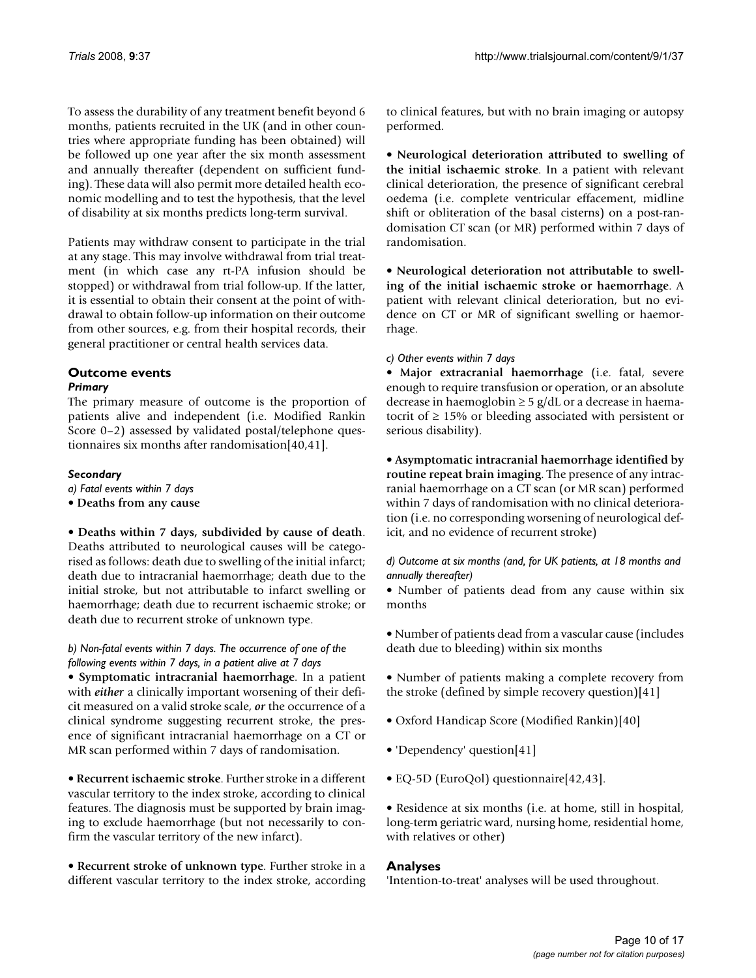To assess the durability of any treatment benefit beyond 6 months, patients recruited in the UK (and in other countries where appropriate funding has been obtained) will be followed up one year after the six month assessment and annually thereafter (dependent on sufficient funding). These data will also permit more detailed health economic modelling and to test the hypothesis, that the level of disability at six months predicts long-term survival.

Patients may withdraw consent to participate in the trial at any stage. This may involve withdrawal from trial treatment (in which case any rt-PA infusion should be stopped) or withdrawal from trial follow-up. If the latter, it is essential to obtain their consent at the point of withdrawal to obtain follow-up information on their outcome from other sources, e.g. from their hospital records, their general practitioner or central health services data.

# **Outcome events**

# *Primary*

The primary measure of outcome is the proportion of patients alive and independent (i.e. Modified Rankin Score 0–2) assessed by validated postal/telephone questionnaires six months after randomisation[40,41].

# *Secondary*

- *a) Fatal events within 7 days*
- **Deaths from any cause**

• **Deaths within 7 days, subdivided by cause of death**. Deaths attributed to neurological causes will be categorised as follows: death due to swelling of the initial infarct; death due to intracranial haemorrhage; death due to the initial stroke, but not attributable to infarct swelling or haemorrhage; death due to recurrent ischaemic stroke; or death due to recurrent stroke of unknown type.

# *b) Non-fatal events within 7 days. The occurrence of one of the following events within 7 days, in a patient alive at 7 days*

• **Symptomatic intracranial haemorrhage**. In a patient with *either* a clinically important worsening of their deficit measured on a valid stroke scale, *or* the occurrence of a clinical syndrome suggesting recurrent stroke, the presence of significant intracranial haemorrhage on a CT or MR scan performed within 7 days of randomisation.

• **Recurrent ischaemic stroke**. Further stroke in a different vascular territory to the index stroke, according to clinical features. The diagnosis must be supported by brain imaging to exclude haemorrhage (but not necessarily to confirm the vascular territory of the new infarct).

• **Recurrent stroke of unknown type**. Further stroke in a different vascular territory to the index stroke, according to clinical features, but with no brain imaging or autopsy performed.

• **Neurological deterioration attributed to swelling of the initial ischaemic stroke**. In a patient with relevant clinical deterioration, the presence of significant cerebral oedema (i.e. complete ventricular effacement, midline shift or obliteration of the basal cisterns) on a post-randomisation CT scan (or MR) performed within 7 days of randomisation.

• **Neurological deterioration not attributable to swelling of the initial ischaemic stroke or haemorrhage**. A patient with relevant clinical deterioration, but no evidence on CT or MR of significant swelling or haemorrhage.

*c) Other events within 7 days*

• **Major extracranial haemorrhage** (i.e. fatal, severe enough to require transfusion or operation, or an absolute decrease in haemoglobin  $\geq 5$  g/dL or a decrease in haematocrit of  $\geq$  15% or bleeding associated with persistent or serious disability).

• **Asymptomatic intracranial haemorrhage identified by routine repeat brain imaging**. The presence of any intracranial haemorrhage on a CT scan (or MR scan) performed within 7 days of randomisation with no clinical deterioration (i.e. no corresponding worsening of neurological deficit, and no evidence of recurrent stroke)

*d) Outcome at six months (and, for UK patients, at 18 months and annually thereafter)*

• Number of patients dead from any cause within six months

• Number of patients dead from a vascular cause (includes death due to bleeding) within six months

• Number of patients making a complete recovery from the stroke (defined by simple recovery question)[41]

- Oxford Handicap Score (Modified Rankin)[40]
- 'Dependency' question[41]
- EQ-5D (EuroQol) questionnaire[42,43].

• Residence at six months (i.e. at home, still in hospital, long-term geriatric ward, nursing home, residential home, with relatives or other)

# **Analyses**

'Intention-to-treat' analyses will be used throughout.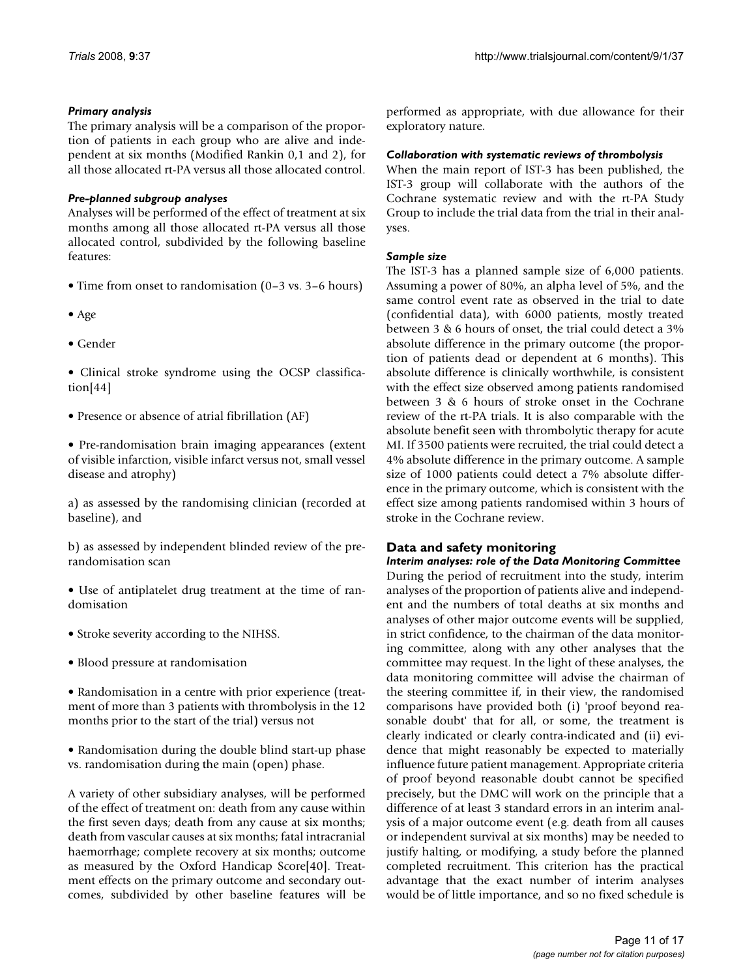# *Primary analysis*

The primary analysis will be a comparison of the proportion of patients in each group who are alive and independent at six months (Modified Rankin 0,1 and 2), for all those allocated rt-PA versus all those allocated control.

# *Pre-planned subgroup analyses*

Analyses will be performed of the effect of treatment at six months among all those allocated rt-PA versus all those allocated control, subdivided by the following baseline features:

- Time from onset to randomisation (0–3 vs. 3–6 hours)
- Age
- Gender
- Clinical stroke syndrome using the OCSP classification[44]
- Presence or absence of atrial fibrillation (AF)
- Pre-randomisation brain imaging appearances (extent of visible infarction, visible infarct versus not, small vessel disease and atrophy)

a) as assessed by the randomising clinician (recorded at baseline), and

b) as assessed by independent blinded review of the prerandomisation scan

- Use of antiplatelet drug treatment at the time of randomisation
- Stroke severity according to the NIHSS.
- Blood pressure at randomisation
- Randomisation in a centre with prior experience (treatment of more than 3 patients with thrombolysis in the 12 months prior to the start of the trial) versus not
- Randomisation during the double blind start-up phase vs. randomisation during the main (open) phase.

A variety of other subsidiary analyses, will be performed of the effect of treatment on: death from any cause within the first seven days; death from any cause at six months; death from vascular causes at six months; fatal intracranial haemorrhage; complete recovery at six months; outcome as measured by the Oxford Handicap Score[40]. Treatment effects on the primary outcome and secondary outcomes, subdivided by other baseline features will be performed as appropriate, with due allowance for their exploratory nature.

#### *Collaboration with systematic reviews of thrombolysis*

When the main report of IST-3 has been published, the IST-3 group will collaborate with the authors of the Cochrane systematic review and with the rt-PA Study Group to include the trial data from the trial in their analyses.

# *Sample size*

The IST-3 has a planned sample size of 6,000 patients. Assuming a power of 80%, an alpha level of 5%, and the same control event rate as observed in the trial to date (confidential data), with 6000 patients, mostly treated between 3 & 6 hours of onset, the trial could detect a 3% absolute difference in the primary outcome (the proportion of patients dead or dependent at 6 months). This absolute difference is clinically worthwhile, is consistent with the effect size observed among patients randomised between 3 & 6 hours of stroke onset in the Cochrane review of the rt-PA trials. It is also comparable with the absolute benefit seen with thrombolytic therapy for acute MI. If 3500 patients were recruited, the trial could detect a 4% absolute difference in the primary outcome. A sample size of 1000 patients could detect a 7% absolute difference in the primary outcome, which is consistent with the effect size among patients randomised within 3 hours of stroke in the Cochrane review.

# **Data and safety monitoring**

*Interim analyses: role of the Data Monitoring Committee* During the period of recruitment into the study, interim analyses of the proportion of patients alive and independent and the numbers of total deaths at six months and analyses of other major outcome events will be supplied, in strict confidence, to the chairman of the data monitoring committee, along with any other analyses that the committee may request. In the light of these analyses, the data monitoring committee will advise the chairman of the steering committee if, in their view, the randomised comparisons have provided both (i) 'proof beyond reasonable doubt' that for all, or some, the treatment is clearly indicated or clearly contra-indicated and (ii) evidence that might reasonably be expected to materially influence future patient management. Appropriate criteria of proof beyond reasonable doubt cannot be specified precisely, but the DMC will work on the principle that a difference of at least 3 standard errors in an interim analysis of a major outcome event (e.g. death from all causes or independent survival at six months) may be needed to justify halting, or modifying, a study before the planned completed recruitment. This criterion has the practical advantage that the exact number of interim analyses would be of little importance, and so no fixed schedule is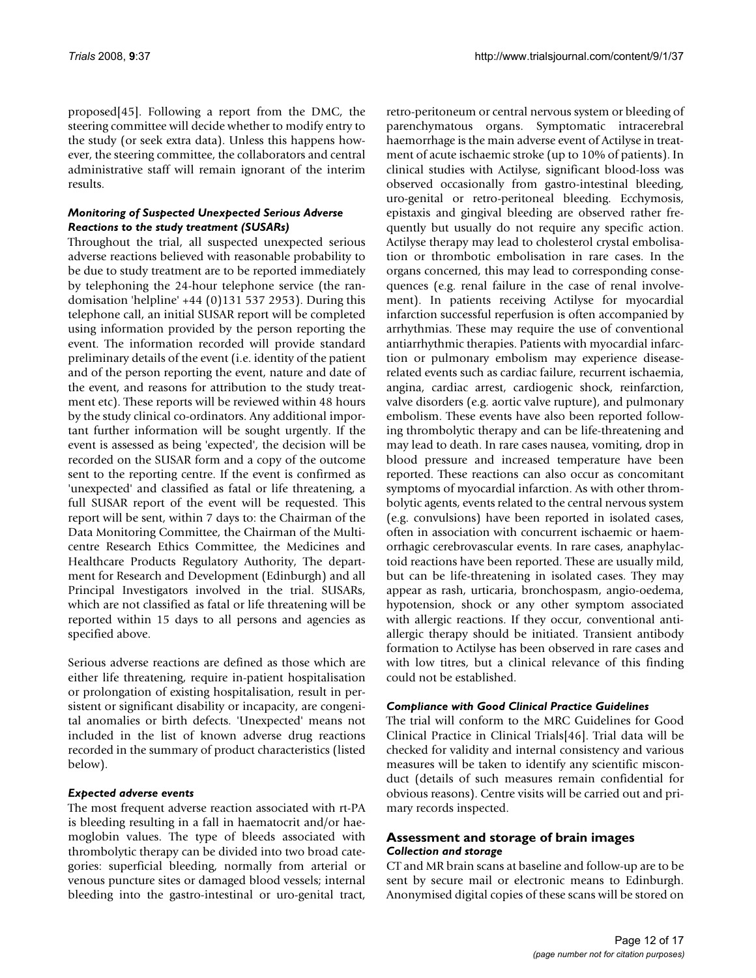proposed[45]. Following a report from the DMC, the steering committee will decide whether to modify entry to the study (or seek extra data). Unless this happens however, the steering committee, the collaborators and central administrative staff will remain ignorant of the interim results.

# *Monitoring of Suspected Unexpected Serious Adverse Reactions to the study treatment (SUSARs)*

Throughout the trial, all suspected unexpected serious adverse reactions believed with reasonable probability to be due to study treatment are to be reported immediately by telephoning the 24-hour telephone service (the randomisation 'helpline' +44 (0)131 537 2953). During this telephone call, an initial SUSAR report will be completed using information provided by the person reporting the event. The information recorded will provide standard preliminary details of the event (i.e. identity of the patient and of the person reporting the event, nature and date of the event, and reasons for attribution to the study treatment etc). These reports will be reviewed within 48 hours by the study clinical co-ordinators. Any additional important further information will be sought urgently. If the event is assessed as being 'expected', the decision will be recorded on the SUSAR form and a copy of the outcome sent to the reporting centre. If the event is confirmed as 'unexpected' and classified as fatal or life threatening, a full SUSAR report of the event will be requested. This report will be sent, within 7 days to: the Chairman of the Data Monitoring Committee, the Chairman of the Multicentre Research Ethics Committee, the Medicines and Healthcare Products Regulatory Authority, The department for Research and Development (Edinburgh) and all Principal Investigators involved in the trial. SUSARs, which are not classified as fatal or life threatening will be reported within 15 days to all persons and agencies as specified above.

Serious adverse reactions are defined as those which are either life threatening, require in-patient hospitalisation or prolongation of existing hospitalisation, result in persistent or significant disability or incapacity, are congenital anomalies or birth defects. 'Unexpected' means not included in the list of known adverse drug reactions recorded in the summary of product characteristics (listed below).

#### *Expected adverse events*

The most frequent adverse reaction associated with rt-PA is bleeding resulting in a fall in haematocrit and/or haemoglobin values. The type of bleeds associated with thrombolytic therapy can be divided into two broad categories: superficial bleeding, normally from arterial or venous puncture sites or damaged blood vessels; internal bleeding into the gastro-intestinal or uro-genital tract,

retro-peritoneum or central nervous system or bleeding of parenchymatous organs. Symptomatic intracerebral haemorrhage is the main adverse event of Actilyse in treatment of acute ischaemic stroke (up to 10% of patients). In clinical studies with Actilyse, significant blood-loss was observed occasionally from gastro-intestinal bleeding, uro-genital or retro-peritoneal bleeding. Ecchymosis, epistaxis and gingival bleeding are observed rather frequently but usually do not require any specific action. Actilyse therapy may lead to cholesterol crystal embolisation or thrombotic embolisation in rare cases. In the organs concerned, this may lead to corresponding consequences (e.g. renal failure in the case of renal involvement). In patients receiving Actilyse for myocardial infarction successful reperfusion is often accompanied by arrhythmias. These may require the use of conventional antiarrhythmic therapies. Patients with myocardial infarction or pulmonary embolism may experience diseaserelated events such as cardiac failure, recurrent ischaemia, angina, cardiac arrest, cardiogenic shock, reinfarction, valve disorders (e.g. aortic valve rupture), and pulmonary embolism. These events have also been reported following thrombolytic therapy and can be life-threatening and may lead to death. In rare cases nausea, vomiting, drop in blood pressure and increased temperature have been reported. These reactions can also occur as concomitant symptoms of myocardial infarction. As with other thrombolytic agents, events related to the central nervous system (e.g. convulsions) have been reported in isolated cases, often in association with concurrent ischaemic or haemorrhagic cerebrovascular events. In rare cases, anaphylactoid reactions have been reported. These are usually mild, but can be life-threatening in isolated cases. They may appear as rash, urticaria, bronchospasm, angio-oedema, hypotension, shock or any other symptom associated with allergic reactions. If they occur, conventional antiallergic therapy should be initiated. Transient antibody formation to Actilyse has been observed in rare cases and with low titres, but a clinical relevance of this finding could not be established.

#### *Compliance with Good Clinical Practice Guidelines*

The trial will conform to the MRC Guidelines for Good Clinical Practice in Clinical Trials[46]. Trial data will be checked for validity and internal consistency and various measures will be taken to identify any scientific misconduct (details of such measures remain confidential for obvious reasons). Centre visits will be carried out and primary records inspected.

# **Assessment and storage of brain images** *Collection and storage*

CT and MR brain scans at baseline and follow-up are to be sent by secure mail or electronic means to Edinburgh. Anonymised digital copies of these scans will be stored on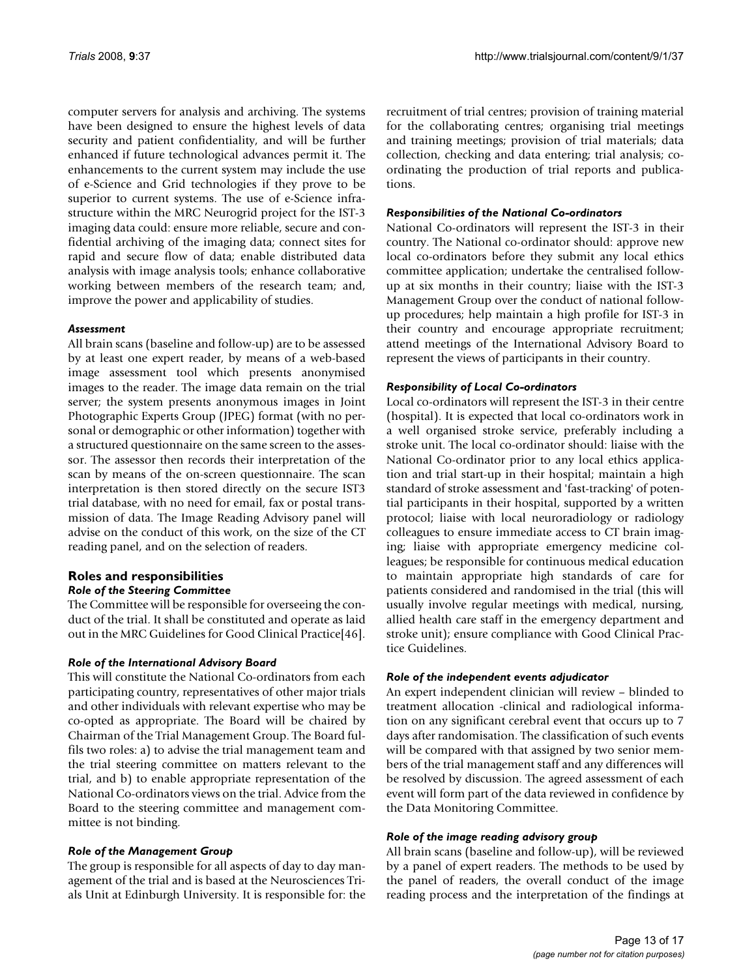computer servers for analysis and archiving. The systems have been designed to ensure the highest levels of data security and patient confidentiality, and will be further enhanced if future technological advances permit it. The enhancements to the current system may include the use of e-Science and Grid technologies if they prove to be superior to current systems. The use of e-Science infrastructure within the MRC Neurogrid project for the IST-3 imaging data could: ensure more reliable, secure and confidential archiving of the imaging data; connect sites for rapid and secure flow of data; enable distributed data analysis with image analysis tools; enhance collaborative working between members of the research team; and, improve the power and applicability of studies.

#### *Assessment*

All brain scans (baseline and follow-up) are to be assessed by at least one expert reader, by means of a web-based image assessment tool which presents anonymised images to the reader. The image data remain on the trial server; the system presents anonymous images in Joint Photographic Experts Group (JPEG) format (with no personal or demographic or other information) together with a structured questionnaire on the same screen to the assessor. The assessor then records their interpretation of the scan by means of the on-screen questionnaire. The scan interpretation is then stored directly on the secure IST3 trial database, with no need for email, fax or postal transmission of data. The Image Reading Advisory panel will advise on the conduct of this work, on the size of the CT reading panel, and on the selection of readers.

# **Roles and responsibilities** *Role of the Steering Committee*

The Committee will be responsible for overseeing the conduct of the trial. It shall be constituted and operate as laid out in the MRC Guidelines for Good Clinical Practice[46].

#### *Role of the International Advisory Board*

This will constitute the National Co-ordinators from each participating country, representatives of other major trials and other individuals with relevant expertise who may be co-opted as appropriate. The Board will be chaired by Chairman of the Trial Management Group. The Board fulfils two roles: a) to advise the trial management team and the trial steering committee on matters relevant to the trial, and b) to enable appropriate representation of the National Co-ordinators views on the trial. Advice from the Board to the steering committee and management committee is not binding.

#### *Role of the Management Group*

The group is responsible for all aspects of day to day management of the trial and is based at the Neurosciences Trials Unit at Edinburgh University. It is responsible for: the recruitment of trial centres; provision of training material for the collaborating centres; organising trial meetings and training meetings; provision of trial materials; data collection, checking and data entering; trial analysis; coordinating the production of trial reports and publications.

#### *Responsibilities of the National Co-ordinators*

National Co-ordinators will represent the IST-3 in their country. The National co-ordinator should: approve new local co-ordinators before they submit any local ethics committee application; undertake the centralised followup at six months in their country; liaise with the IST-3 Management Group over the conduct of national followup procedures; help maintain a high profile for IST-3 in their country and encourage appropriate recruitment; attend meetings of the International Advisory Board to represent the views of participants in their country.

#### *Responsibility of Local Co-ordinators*

Local co-ordinators will represent the IST-3 in their centre (hospital). It is expected that local co-ordinators work in a well organised stroke service, preferably including a stroke unit. The local co-ordinator should: liaise with the National Co-ordinator prior to any local ethics application and trial start-up in their hospital; maintain a high standard of stroke assessment and 'fast-tracking' of potential participants in their hospital, supported by a written protocol; liaise with local neuroradiology or radiology colleagues to ensure immediate access to CT brain imaging; liaise with appropriate emergency medicine colleagues; be responsible for continuous medical education to maintain appropriate high standards of care for patients considered and randomised in the trial (this will usually involve regular meetings with medical, nursing, allied health care staff in the emergency department and stroke unit); ensure compliance with Good Clinical Practice Guidelines.

#### *Role of the independent events adjudicator*

An expert independent clinician will review – blinded to treatment allocation -clinical and radiological information on any significant cerebral event that occurs up to 7 days after randomisation. The classification of such events will be compared with that assigned by two senior members of the trial management staff and any differences will be resolved by discussion. The agreed assessment of each event will form part of the data reviewed in confidence by the Data Monitoring Committee.

#### *Role of the image reading advisory group*

All brain scans (baseline and follow-up), will be reviewed by a panel of expert readers. The methods to be used by the panel of readers, the overall conduct of the image reading process and the interpretation of the findings at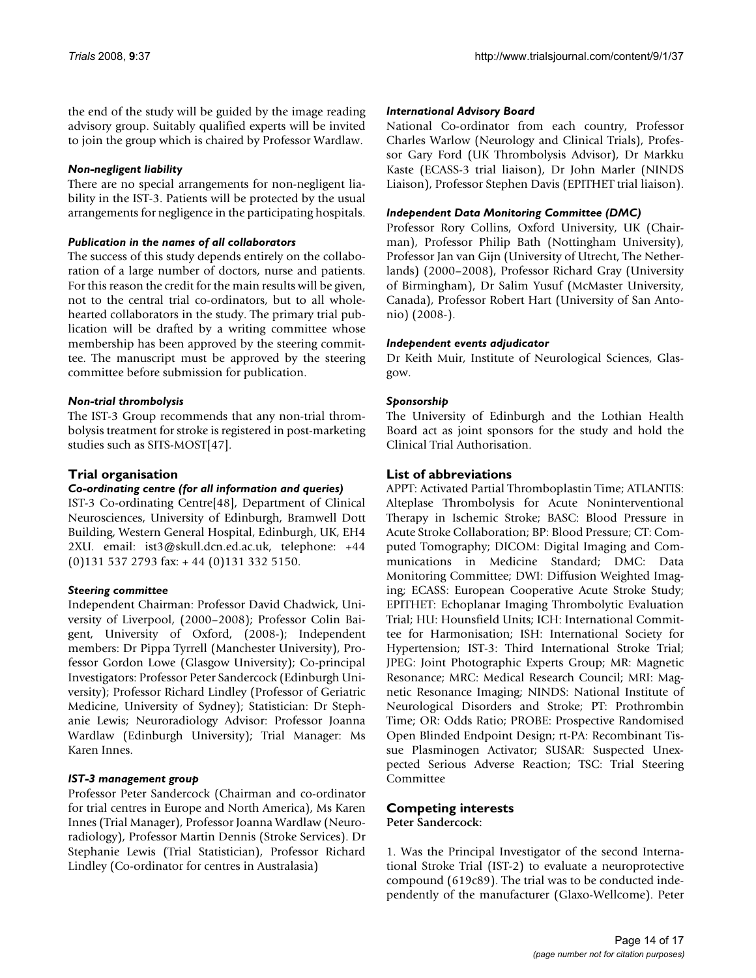the end of the study will be guided by the image reading advisory group. Suitably qualified experts will be invited to join the group which is chaired by Professor Wardlaw.

# *Non-negligent liability*

There are no special arrangements for non-negligent liability in the IST-3. Patients will be protected by the usual arrangements for negligence in the participating hospitals.

# *Publication in the names of all collaborators*

The success of this study depends entirely on the collaboration of a large number of doctors, nurse and patients. For this reason the credit for the main results will be given, not to the central trial co-ordinators, but to all wholehearted collaborators in the study. The primary trial publication will be drafted by a writing committee whose membership has been approved by the steering committee. The manuscript must be approved by the steering committee before submission for publication.

# *Non-trial thrombolysis*

The IST-3 Group recommends that any non-trial thrombolysis treatment for stroke is registered in post-marketing studies such as SITS-MOST[47].

# **Trial organisation**

# *Co-ordinating centre (for all information and queries)*

IST-3 Co-ordinating Centre[48], Department of Clinical Neurosciences, University of Edinburgh, Bramwell Dott Building, Western General Hospital, Edinburgh, UK, EH4 2XU. email: ist3@skull.dcn.ed.ac.uk, telephone: +44 (0)131 537 2793 fax: + 44 (0)131 332 5150.

# *Steering committee*

Independent Chairman: Professor David Chadwick, University of Liverpool, (2000–2008); Professor Colin Baigent, University of Oxford, (2008-); Independent members: Dr Pippa Tyrrell (Manchester University), Professor Gordon Lowe (Glasgow University); Co-principal Investigators: Professor Peter Sandercock (Edinburgh University); Professor Richard Lindley (Professor of Geriatric Medicine, University of Sydney); Statistician: Dr Stephanie Lewis; Neuroradiology Advisor: Professor Joanna Wardlaw (Edinburgh University); Trial Manager: Ms Karen Innes.

#### *IST-3 management group*

Professor Peter Sandercock (Chairman and co-ordinator for trial centres in Europe and North America), Ms Karen Innes (Trial Manager), Professor Joanna Wardlaw (Neuroradiology), Professor Martin Dennis (Stroke Services). Dr Stephanie Lewis (Trial Statistician), Professor Richard Lindley (Co-ordinator for centres in Australasia)

#### *International Advisory Board*

National Co-ordinator from each country, Professor Charles Warlow (Neurology and Clinical Trials), Professor Gary Ford (UK Thrombolysis Advisor), Dr Markku Kaste (ECASS-3 trial liaison), Dr John Marler (NINDS Liaison), Professor Stephen Davis (EPITHET trial liaison).

# *Independent Data Monitoring Committee (DMC)*

Professor Rory Collins, Oxford University, UK (Chairman), Professor Philip Bath (Nottingham University), Professor Jan van Gijn (University of Utrecht, The Netherlands) (2000–2008), Professor Richard Gray (University of Birmingham), Dr Salim Yusuf (McMaster University, Canada), Professor Robert Hart (University of San Antonio) (2008-).

# *Independent events adjudicator*

Dr Keith Muir, Institute of Neurological Sciences, Glasgow.

# *Sponsorship*

The University of Edinburgh and the Lothian Health Board act as joint sponsors for the study and hold the Clinical Trial Authorisation.

# **List of abbreviations**

APPT: Activated Partial Thromboplastin Time; ATLANTIS: Alteplase Thrombolysis for Acute Noninterventional Therapy in Ischemic Stroke; BASC: Blood Pressure in Acute Stroke Collaboration; BP: Blood Pressure; CT: Computed Tomography; DICOM: Digital Imaging and Communications in Medicine Standard; DMC: Data Monitoring Committee; DWI: Diffusion Weighted Imaging; ECASS: European Cooperative Acute Stroke Study; EPITHET: Echoplanar Imaging Thrombolytic Evaluation Trial; HU: Hounsfield Units; ICH: International Committee for Harmonisation; ISH: International Society for Hypertension; IST-3: Third International Stroke Trial; JPEG: Joint Photographic Experts Group; MR: Magnetic Resonance; MRC: Medical Research Council; MRI: Magnetic Resonance Imaging; NINDS: National Institute of Neurological Disorders and Stroke; PT: Prothrombin Time; OR: Odds Ratio; PROBE: Prospective Randomised Open Blinded Endpoint Design; rt-PA: Recombinant Tissue Plasminogen Activator; SUSAR: Suspected Unexpected Serious Adverse Reaction; TSC: Trial Steering Committee

# **Competing interests Peter Sandercock:**

1. Was the Principal Investigator of the second International Stroke Trial (IST-2) to evaluate a neuroprotective compound (619c89). The trial was to be conducted independently of the manufacturer (Glaxo-Wellcome). Peter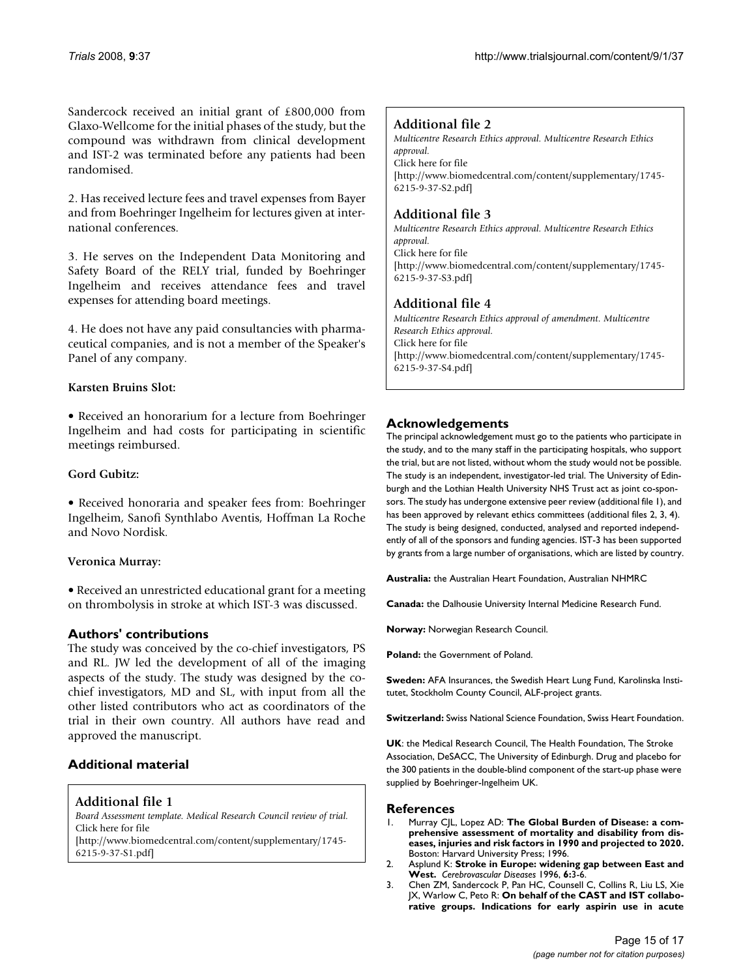Sandercock received an initial grant of £800,000 from Glaxo-Wellcome for the initial phases of the study, but the compound was withdrawn from clinical development and IST-2 was terminated before any patients had been randomised.

2. Has received lecture fees and travel expenses from Bayer and from Boehringer Ingelheim for lectures given at international conferences.

3. He serves on the Independent Data Monitoring and Safety Board of the RELY trial, funded by Boehringer Ingelheim and receives attendance fees and travel expenses for attending board meetings.

4. He does not have any paid consultancies with pharmaceutical companies, and is not a member of the Speaker's Panel of any company.

# **Karsten Bruins Slot:**

• Received an honorarium for a lecture from Boehringer Ingelheim and had costs for participating in scientific meetings reimbursed.

# **Gord Gubitz:**

• Received honoraria and speaker fees from: Boehringer Ingelheim, Sanofi Synthlabo Aventis, Hoffman La Roche and Novo Nordisk.

#### **Veronica Murray:**

• Received an unrestricted educational grant for a meeting on thrombolysis in stroke at which IST-3 was discussed.

# **Authors' contributions**

The study was conceived by the co-chief investigators, PS and RL. JW led the development of all of the imaging aspects of the study. The study was designed by the cochief investigators, MD and SL, with input from all the other listed contributors who act as coordinators of the trial in their own country. All authors have read and approved the manuscript.

# **Additional material**

# **Additional file 1**

*Board Assessment template. Medical Research Council review of trial.* Click here for file

[\[http://www.biomedcentral.com/content/supplementary/1745-](http://www.biomedcentral.com/content/supplementary/1745-6215-9-37-S1.pdf) 6215-9-37-S1.pdf]

# **Additional file 2**

*Multicentre Research Ethics approval. Multicentre Research Ethics approval.* Click here for file [\[http://www.biomedcentral.com/content/supplementary/1745-](http://www.biomedcentral.com/content/supplementary/1745-6215-9-37-S2.pdf) 6215-9-37-S2.pdf]

# **Additional file 3**

*Multicentre Research Ethics approval. Multicentre Research Ethics approval.* Click here for file [\[http://www.biomedcentral.com/content/supplementary/1745-](http://www.biomedcentral.com/content/supplementary/1745-6215-9-37-S3.pdf) 6215-9-37-S3.pdf]

# **Additional file 4**

*Multicentre Research Ethics approval of amendment. Multicentre Research Ethics approval.* Click here for file [\[http://www.biomedcentral.com/content/supplementary/1745-](http://www.biomedcentral.com/content/supplementary/1745-6215-9-37-S4.pdf) 6215-9-37-S4.pdf]

# **Acknowledgements**

The principal acknowledgement must go to the patients who participate in the study, and to the many staff in the participating hospitals, who support the trial, but are not listed, without whom the study would not be possible. The study is an independent, investigator-led trial. The University of Edinburgh and the Lothian Health University NHS Trust act as joint co-sponsors. The study has undergone extensive peer review (additional file 1), and has been approved by relevant ethics committees (additional files 2, 3, 4). The study is being designed, conducted, analysed and reported independently of all of the sponsors and funding agencies. IST-3 has been supported by grants from a large number of organisations, which are listed by country.

**Australia:** the Australian Heart Foundation, Australian NHMRC

**Canada:** the Dalhousie University Internal Medicine Research Fund.

**Norway:** Norwegian Research Council.

**Poland:** the Government of Poland.

**Sweden:** AFA Insurances, the Swedish Heart Lung Fund, Karolinska Institutet, Stockholm County Council, ALF-project grants.

**Switzerland:** Swiss National Science Foundation, Swiss Heart Foundation.

**UK**: the Medical Research Council, The Health Foundation, The Stroke Association, DeSACC, The University of Edinburgh. Drug and placebo for the 300 patients in the double-blind component of the start-up phase were supplied by Boehringer-Ingelheim UK.

#### **References**

- 1. Murray CJL, Lopez AD: **The Global Burden of Disease: a comprehensive assessment of mortality and disability from diseases, injuries and risk factors in 1990 and projected to 2020.** Boston: Harvard University Press; 1996.
- 2. Asplund K: **Stroke in Europe: widening gap between East and West.** *Cerebrovascular Diseases* 1996, **6:**3-6.
- 3. Chen ZM, Sandercock P, Pan HC, Counsell C, Collins R, Liu LS, Xie JX, Warlow C, Peto R: **[On behalf of the CAST and IST collabo](http://www.ncbi.nlm.nih.gov/entrez/query.fcgi?cmd=Retrieve&db=PubMed&dopt=Abstract&list_uids=10835439)[rative groups. Indications for early aspirin use in acute](http://www.ncbi.nlm.nih.gov/entrez/query.fcgi?cmd=Retrieve&db=PubMed&dopt=Abstract&list_uids=10835439)**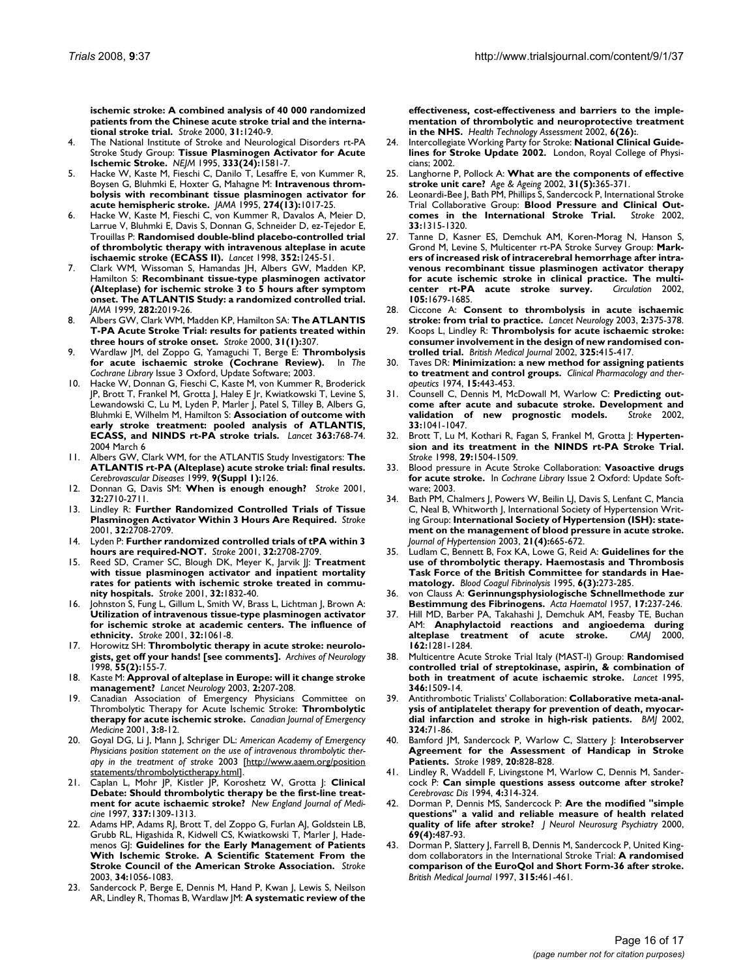**[ischemic stroke: A combined analysis of 40 000 randomized](http://www.ncbi.nlm.nih.gov/entrez/query.fcgi?cmd=Retrieve&db=PubMed&dopt=Abstract&list_uids=10835439) patients from the Chinese acute stroke trial and the interna[tional stroke trial.](http://www.ncbi.nlm.nih.gov/entrez/query.fcgi?cmd=Retrieve&db=PubMed&dopt=Abstract&list_uids=10835439)** *Stroke* 2000, **31:**1240-9.

- 4. The National Institute of Stroke and Neurological Disorders rt-PA Stroke Study Group: **[Tissue Plasminogen Activator for Acute](http://www.ncbi.nlm.nih.gov/entrez/query.fcgi?cmd=Retrieve&db=PubMed&dopt=Abstract&list_uids=7477192) [Ischemic Stroke.](http://www.ncbi.nlm.nih.gov/entrez/query.fcgi?cmd=Retrieve&db=PubMed&dopt=Abstract&list_uids=7477192)** *NEJM* 1995, **333(24):**1581-7.
- Hacke W, Kaste M, Fieschi C, Danilo T, Lesaffre E, von Kummer R, Boysen G, Bluhmki E, Hoxter G, Mahagne M: **[Intravenous throm](http://www.ncbi.nlm.nih.gov/entrez/query.fcgi?cmd=Retrieve&db=PubMed&dopt=Abstract&list_uids=7563451)[bolysis with recombinant tissue plasminogen activator for](http://www.ncbi.nlm.nih.gov/entrez/query.fcgi?cmd=Retrieve&db=PubMed&dopt=Abstract&list_uids=7563451) [acute hemispheric stroke.](http://www.ncbi.nlm.nih.gov/entrez/query.fcgi?cmd=Retrieve&db=PubMed&dopt=Abstract&list_uids=7563451)** *JAMA* 1995, **274(13):**1017-25.
- 6. Hacke W, Kaste M, Fieschi C, von Kummer R, Davalos A, Meier D, Larrue V, Bluhmki E, Davis S, Donnan G, Schneider D, ez-Tejedor E, Trouillas P: **[Randomised double-blind placebo-controlled trial](http://www.ncbi.nlm.nih.gov/entrez/query.fcgi?cmd=Retrieve&db=PubMed&dopt=Abstract&list_uids=9788453) [of thrombolytic therapy with intravenous alteplase in acute](http://www.ncbi.nlm.nih.gov/entrez/query.fcgi?cmd=Retrieve&db=PubMed&dopt=Abstract&list_uids=9788453) [ischaemic stroke \(ECASS II\).](http://www.ncbi.nlm.nih.gov/entrez/query.fcgi?cmd=Retrieve&db=PubMed&dopt=Abstract&list_uids=9788453)** *Lancet* 1998, **352:**1245-51.
- 7. Clark WM, Wissoman S, Hamandas JH, Albers GW, Madden KP, Hamilton S: **[Recombinant tissue-type plasminogen activator](http://www.ncbi.nlm.nih.gov/entrez/query.fcgi?cmd=Retrieve&db=PubMed&dopt=Abstract&list_uids=10591384) [\(Alteplase\) for ischemic stroke 3 to 5 hours after symptom](http://www.ncbi.nlm.nih.gov/entrez/query.fcgi?cmd=Retrieve&db=PubMed&dopt=Abstract&list_uids=10591384) onset. The ATLANTIS Study: a randomized controlled trial.** *JAMA* 1999, **282:**2019-26.
- 8. Albers GW, Clark WM, Madden KP, Hamilton SA: **The ATLANTIS T-PA Acute Stroke Trial: results for patients treated within three hours of stroke onset.** *Stroke* 2000, **31(1):**307.
- 9. Wardlaw JM, del Zoppo G, Yamaguchi T, Berge E: **Thrombolysis for acute ischaemic stroke (Cochrane Review).** In *The Cochrane Library* Issue 3 Oxford, Update Software; 2003.
- 10. Hacke W, Donnan G, Fieschi C, Kaste M, von Kummer R, Broderick JP, Brott T, Frankel M, Grotta J, Haley E Jr, Kwiatkowski T, Levine S, Lewandowski C, Lu M, Lyden P, Marler J, Patel S, Tilley B, Albers G, Bluhmki E, Wilhelm M, Hamilton S: **[Association of outcome with](http://www.ncbi.nlm.nih.gov/entrez/query.fcgi?cmd=Retrieve&db=PubMed&dopt=Abstract&list_uids=15016487) [early stroke treatment: pooled analysis of ATLANTIS,](http://www.ncbi.nlm.nih.gov/entrez/query.fcgi?cmd=Retrieve&db=PubMed&dopt=Abstract&list_uids=15016487) [ECASS, and NINDS rt-PA stroke trials.](http://www.ncbi.nlm.nih.gov/entrez/query.fcgi?cmd=Retrieve&db=PubMed&dopt=Abstract&list_uids=15016487)** *Lancet* **363:**768-74. 2004 March 6
- 11. Albers GW, Clark WM, for the ATLANTIS Study Investigators: **[The](http://www.ncbi.nlm.nih.gov/entrez/query.fcgi?cmd=Retrieve&db=PubMed&dopt=Abstract&list_uids=10087385) [ATLANTIS rt-PA \(Alteplase\) acute stroke trial: final results.](http://www.ncbi.nlm.nih.gov/entrez/query.fcgi?cmd=Retrieve&db=PubMed&dopt=Abstract&list_uids=10087385)** *Cerebrovascular Diseases* 1999, **9(Suppl 1):**126.
- 12. Donnan G, Davis SM: **[When is enough enough?](http://www.ncbi.nlm.nih.gov/entrez/query.fcgi?cmd=Retrieve&db=PubMed&dopt=Abstract&list_uids=11692042)** *Stroke* 2001, **32:**2710-2711.
- 13. Lindley R: **[Further Randomized Controlled Trials of Tissue](http://www.ncbi.nlm.nih.gov/entrez/query.fcgi?cmd=Retrieve&db=PubMed&dopt=Abstract&list_uids=11692040) [Plasminogen Activator Within 3 Hours Are Required.](http://www.ncbi.nlm.nih.gov/entrez/query.fcgi?cmd=Retrieve&db=PubMed&dopt=Abstract&list_uids=11692040)** *Stroke* 2001, **32:**2708-2709.
- 14. Lyden P: **[Further randomized controlled trials of tPA within 3](http://www.ncbi.nlm.nih.gov/entrez/query.fcgi?cmd=Retrieve&db=PubMed&dopt=Abstract&list_uids=11692040) [hours are required-NOT.](http://www.ncbi.nlm.nih.gov/entrez/query.fcgi?cmd=Retrieve&db=PubMed&dopt=Abstract&list_uids=11692040)** *Stroke* 2001, **32:**2708-2709.
- 15. Reed SD, Cramer SC, Blough DK, Meyer K, Jarvik JJ: **[Treatment](http://www.ncbi.nlm.nih.gov/entrez/query.fcgi?cmd=Retrieve&db=PubMed&dopt=Abstract&list_uids=11486113) [with tissue plasminogen activator and inpatient mortality](http://www.ncbi.nlm.nih.gov/entrez/query.fcgi?cmd=Retrieve&db=PubMed&dopt=Abstract&list_uids=11486113) rates for patients with ischemic stroke treated in commu[nity hospitals.](http://www.ncbi.nlm.nih.gov/entrez/query.fcgi?cmd=Retrieve&db=PubMed&dopt=Abstract&list_uids=11486113)** *Stroke* 2001, **32:**1832-40.
- Johnston S, Fung L, Gillum L, Smith W, Brass L, Lichtman J, Brown A: **[Utilization of intravenous tissue-type plasminogen activator](http://www.ncbi.nlm.nih.gov/entrez/query.fcgi?cmd=Retrieve&db=PubMed&dopt=Abstract&list_uids=11340210) for ischemic stroke at academic centers. The influence of [ethnicity.](http://www.ncbi.nlm.nih.gov/entrez/query.fcgi?cmd=Retrieve&db=PubMed&dopt=Abstract&list_uids=11340210)** *Stroke* 2001, **32:**1061-8.
- 17. Horowitz SH: **[Thrombolytic therapy in acute stroke: neurolo](http://www.ncbi.nlm.nih.gov/entrez/query.fcgi?cmd=Retrieve&db=PubMed&dopt=Abstract&list_uids=9482356)[gists, get off your hands! \[see comments\].](http://www.ncbi.nlm.nih.gov/entrez/query.fcgi?cmd=Retrieve&db=PubMed&dopt=Abstract&list_uids=9482356)** *Archives of Neurology* 1998, **55(2):**155-7.
- 18. Kaste M: **[Approval of alteplase in Europe: will it change stroke](http://www.ncbi.nlm.nih.gov/entrez/query.fcgi?cmd=Retrieve&db=PubMed&dopt=Abstract&list_uids=12849203) [management?](http://www.ncbi.nlm.nih.gov/entrez/query.fcgi?cmd=Retrieve&db=PubMed&dopt=Abstract&list_uids=12849203)** *Lancet Neurology* 2003, **2:**207-208.
- 19. Canadian Association of Emergency Physicians Committee on Thrombolytic Therapy for Acute Ischemic Stroke: **[Thrombolytic](http://www.ncbi.nlm.nih.gov/entrez/query.fcgi?cmd=Retrieve&db=PubMed&dopt=Abstract&list_uids=17612434) [therapy for acute ischemic stroke.](http://www.ncbi.nlm.nih.gov/entrez/query.fcgi?cmd=Retrieve&db=PubMed&dopt=Abstract&list_uids=17612434)** *Canadian Journal of Emergency Medicine* 2001, **3:**8-12.
- 20. Goyal DG, Li J, Mann J, Schriger DL: *American Academy of Emergency Physicians position statement on the use of intravenous thrombolytic therapy in the treatment of stroke* 2003 [[http://www.aaem.org/position](http://www.aaem.org/positionstatements/thrombolytictherapy.html) [statements/thrombolytictherapy.html\]](http://www.aaem.org/positionstatements/thrombolytictherapy.html).
- 21. Caplan L, Mohr JP, Kistler JP, Koroshetz W, Grotta J: **[Clinical](http://www.ncbi.nlm.nih.gov/entrez/query.fcgi?cmd=Retrieve&db=PubMed&dopt=Abstract&list_uids=9345084) [Debate: Should thrombolytic therapy be the first-line treat](http://www.ncbi.nlm.nih.gov/entrez/query.fcgi?cmd=Retrieve&db=PubMed&dopt=Abstract&list_uids=9345084)[ment for acute ischaemic stroke?](http://www.ncbi.nlm.nih.gov/entrez/query.fcgi?cmd=Retrieve&db=PubMed&dopt=Abstract&list_uids=9345084)** *New England Journal of Medicine* 1997, **337:**1309-1313.
- 22. Adams HP, Adams RJ, Brott T, del Zoppo G, Furlan AJ, Goldstein LB, Grubb RL, Higashida R, Kidwell CS, Kwiatkowski T, Marler J, Hademenos GJ: **[Guidelines for the Early Management of Patients](http://www.ncbi.nlm.nih.gov/entrez/query.fcgi?cmd=Retrieve&db=PubMed&dopt=Abstract&list_uids=12677087) [With Ischemic Stroke. A Scientific Statement From the](http://www.ncbi.nlm.nih.gov/entrez/query.fcgi?cmd=Retrieve&db=PubMed&dopt=Abstract&list_uids=12677087) [Stroke Council of the American Stroke Association.](http://www.ncbi.nlm.nih.gov/entrez/query.fcgi?cmd=Retrieve&db=PubMed&dopt=Abstract&list_uids=12677087)** *Stroke* 2003, **34:**1056-1083.
- 23. Sandercock P, Berge E, Dennis M, Hand P, Kwan J, Lewis S, Neilson AR, Lindley R, Thomas B, Wardlaw JM: **[A systematic review of the](http://www.ncbi.nlm.nih.gov/entrez/query.fcgi?cmd=Retrieve&db=PubMed&dopt=Abstract&list_uids=12433319)**

**[effectiveness, cost-effectiveness and barriers to the imple](http://www.ncbi.nlm.nih.gov/entrez/query.fcgi?cmd=Retrieve&db=PubMed&dopt=Abstract&list_uids=12433319)mentation of thrombolytic and neuroprotective treatment [in the NHS.](http://www.ncbi.nlm.nih.gov/entrez/query.fcgi?cmd=Retrieve&db=PubMed&dopt=Abstract&list_uids=12433319)** *Health Technology Assessment* 2002, **6(26):**.

- 24. Intercollegiate Working Party for Stroke: **National Clinical Guidelines for Stroke Update 2002.** London, Royal College of Physicians; 2002.
- 25. Langhorne P, Pollock A: **[What are the components of effective](http://www.ncbi.nlm.nih.gov/entrez/query.fcgi?cmd=Retrieve&db=PubMed&dopt=Abstract&list_uids=12242199) [stroke unit care?](http://www.ncbi.nlm.nih.gov/entrez/query.fcgi?cmd=Retrieve&db=PubMed&dopt=Abstract&list_uids=12242199)** *Age & Ageing* 2002, **31(5):**365-371.
- 26. Leonardi-Bee J, Bath PM, Phillips S, Sandercock P, International Stroke Trial Collaborative Group: **[Blood Pressure and Clinical Out](http://www.ncbi.nlm.nih.gov/entrez/query.fcgi?cmd=Retrieve&db=PubMed&dopt=Abstract&list_uids=11988609)**[comes in the International Stroke Trial.](http://www.ncbi.nlm.nih.gov/entrez/query.fcgi?cmd=Retrieve&db=PubMed&dopt=Abstract&list_uids=11988609) **33:**1315-1320.
- 27. Tanne D, Kasner ES, Demchuk AM, Koren-Morag N, Hanson S, Grond M, Levine S, Multicenter rt-PA Stroke Survey Group: **[Mark](http://www.ncbi.nlm.nih.gov/entrez/query.fcgi?cmd=Retrieve&db=PubMed&dopt=Abstract&list_uids=11940547)ers of increased risk of intracerebral hemorrhage after intra[venous recombinant tissue plasminogen activator therapy](http://www.ncbi.nlm.nih.gov/entrez/query.fcgi?cmd=Retrieve&db=PubMed&dopt=Abstract&list_uids=11940547)** for acute ischemic stroke in clinical practice. The multi-<br>center rt-PA acute stroke survey. *Circulation* 2002, [center rt-PA acute stroke survey.](http://www.ncbi.nlm.nih.gov/entrez/query.fcgi?cmd=Retrieve&db=PubMed&dopt=Abstract&list_uids=11940547) **105:**1679-1685.
- 28. Ciccone A: **[Consent to thrombolysis in acute ischaemic](http://www.ncbi.nlm.nih.gov/entrez/query.fcgi?cmd=Retrieve&db=PubMed&dopt=Abstract&list_uids=12849154) [stroke: from trial to practice.](http://www.ncbi.nlm.nih.gov/entrez/query.fcgi?cmd=Retrieve&db=PubMed&dopt=Abstract&list_uids=12849154)** *Lancet Neurology* 2003, **2:**375-378.
- 29. Koops L, Lindley R: **[Thrombolysis for acute ischaemic stroke:](http://www.ncbi.nlm.nih.gov/entrez/query.fcgi?cmd=Retrieve&db=PubMed&dopt=Abstract&list_uids=12193356) [consumer involvement in the design of new randomised con](http://www.ncbi.nlm.nih.gov/entrez/query.fcgi?cmd=Retrieve&db=PubMed&dopt=Abstract&list_uids=12193356)[trolled trial.](http://www.ncbi.nlm.nih.gov/entrez/query.fcgi?cmd=Retrieve&db=PubMed&dopt=Abstract&list_uids=12193356)** *British Medical Journal* 2002, **325:**415-417.
- 30. Taves DR: **Minimization: a new method for assigning patients to treatment and control groups.** *Clinical Pharmacology and therapeutics* 1974, **15:**443-453.
- 31. Counsell C, Dennis M, McDowall M, Warlow C: **[Predicting out](http://www.ncbi.nlm.nih.gov/entrez/query.fcgi?cmd=Retrieve&db=PubMed&dopt=Abstract&list_uids=11935058)[come after acute and subacute stroke. Development and](http://www.ncbi.nlm.nih.gov/entrez/query.fcgi?cmd=Retrieve&db=PubMed&dopt=Abstract&list_uids=11935058) [validation of new prognostic models.](http://www.ncbi.nlm.nih.gov/entrez/query.fcgi?cmd=Retrieve&db=PubMed&dopt=Abstract&list_uids=11935058)** *Stroke* 2002, **33:**1041-1047.
- 32. Brott T, Lu M, Kothari R, Fagan S, Frankel M, Grotta J: **[Hyperten](http://www.ncbi.nlm.nih.gov/entrez/query.fcgi?cmd=Retrieve&db=PubMed&dopt=Abstract&list_uids=9707184)[sion and its treatment in the NINDS rt-PA Stroke Trial.](http://www.ncbi.nlm.nih.gov/entrez/query.fcgi?cmd=Retrieve&db=PubMed&dopt=Abstract&list_uids=9707184)** *Stroke* 1998, **29:**1504-1509.
- 33. Blood pressure in Acute Stroke Collaboration: **Vasoactive drugs for acute stroke.** In *Cochrane Library* Issue 2 Oxford: Update Software; 2003.
- 34. Bath PM, Chalmers J, Powers W, Beilin LJ, Davis S, Lenfant C, Mancia C, Neal B, Whitworth J, International Society of Hypertension Writing Group: **[International Society of Hypertension \(ISH\): state](http://www.ncbi.nlm.nih.gov/entrez/query.fcgi?cmd=Retrieve&db=PubMed&dopt=Abstract&list_uids=12658006)[ment on the management of blood pressure in acute stroke.](http://www.ncbi.nlm.nih.gov/entrez/query.fcgi?cmd=Retrieve&db=PubMed&dopt=Abstract&list_uids=12658006)** *Journal of Hypertension* 2003, **21(4):**665-672.
- 35. Ludlam C, Bennett B, Fox KA, Lowe G, Reid A: **[Guidelines for the](http://www.ncbi.nlm.nih.gov/entrez/query.fcgi?cmd=Retrieve&db=PubMed&dopt=Abstract&list_uids=7654941) [use of thrombolytic therapy. Haemostasis and Thrombosis](http://www.ncbi.nlm.nih.gov/entrez/query.fcgi?cmd=Retrieve&db=PubMed&dopt=Abstract&list_uids=7654941) Task Force of the British Committee for standards in Hae[matology.](http://www.ncbi.nlm.nih.gov/entrez/query.fcgi?cmd=Retrieve&db=PubMed&dopt=Abstract&list_uids=7654941)** *Blood Coagul Fibrinolysis* 1995, **6(3):**273-285.
- 36. von Clauss A: **[Gerinnungsphysiologische Schnellmethode zur](http://www.ncbi.nlm.nih.gov/entrez/query.fcgi?cmd=Retrieve&db=PubMed&dopt=Abstract&list_uids=13434757) [Bestimmung des Fibrinogens.](http://www.ncbi.nlm.nih.gov/entrez/query.fcgi?cmd=Retrieve&db=PubMed&dopt=Abstract&list_uids=13434757)** *Acta Haematol* 1957, **17:**237-246.
- 37. Hill MD, Barber PA, Takahashi J, Demchuk AM, Feasby TE, Buchan AM: **[Anaphylactoid reactions and angioedema during](http://www.ncbi.nlm.nih.gov/entrez/query.fcgi?cmd=Retrieve&db=PubMed&dopt=Abstract&list_uids=10813008)** [alteplase treatment of acute stroke.](http://www.ncbi.nlm.nih.gov/entrez/query.fcgi?cmd=Retrieve&db=PubMed&dopt=Abstract&list_uids=10813008) **162:**1281-1284.
- 38. Multicentre Acute Stroke Trial Italy (MAST-I) Group: **[Randomised](http://www.ncbi.nlm.nih.gov/entrez/query.fcgi?cmd=Retrieve&db=PubMed&dopt=Abstract&list_uids=7491044) [controlled trial of streptokinase, aspirin, & combination of](http://www.ncbi.nlm.nih.gov/entrez/query.fcgi?cmd=Retrieve&db=PubMed&dopt=Abstract&list_uids=7491044) [both in treatment of acute ischaemic stroke.](http://www.ncbi.nlm.nih.gov/entrez/query.fcgi?cmd=Retrieve&db=PubMed&dopt=Abstract&list_uids=7491044)** *Lancet* 1995, **346:**1509-14.
- Antithrombotic Trialists' Collaboration: **[Collaborative meta-anal](http://www.ncbi.nlm.nih.gov/entrez/query.fcgi?cmd=Retrieve&db=PubMed&dopt=Abstract&list_uids=11786451)[ysis of antiplatelet therapy for prevention of death, myocar](http://www.ncbi.nlm.nih.gov/entrez/query.fcgi?cmd=Retrieve&db=PubMed&dopt=Abstract&list_uids=11786451)[dial infarction and stroke in high-risk patients.](http://www.ncbi.nlm.nih.gov/entrez/query.fcgi?cmd=Retrieve&db=PubMed&dopt=Abstract&list_uids=11786451)** *BMJ* 2002, **324:**71-86.
- 40. Bamford JM, Sandercock P, Warlow C, Slattery J: **[Interobserver](http://www.ncbi.nlm.nih.gov/entrez/query.fcgi?cmd=Retrieve&db=PubMed&dopt=Abstract&list_uids=2728057) [Agreement for the Assessment of Handicap in Stroke](http://www.ncbi.nlm.nih.gov/entrez/query.fcgi?cmd=Retrieve&db=PubMed&dopt=Abstract&list_uids=2728057) [Patients.](http://www.ncbi.nlm.nih.gov/entrez/query.fcgi?cmd=Retrieve&db=PubMed&dopt=Abstract&list_uids=2728057)** *Stroke* 1989, **20:**828-828.
- 41. Lindley R, Waddell F, Livingstone M, Warlow C, Dennis M, Sandercock P: **Can simple questions assess outcome after stroke?** *Cerebrovasc Dis* 1994, **4:**314-324.
- 42. Dorman P, Dennis MS, Sandercock P: **[Are the modified "simple](http://www.ncbi.nlm.nih.gov/entrez/query.fcgi?cmd=Retrieve&db=PubMed&dopt=Abstract&list_uids=10990509) [questions" a valid and reliable measure of health related](http://www.ncbi.nlm.nih.gov/entrez/query.fcgi?cmd=Retrieve&db=PubMed&dopt=Abstract&list_uids=10990509) [quality of life after stroke?](http://www.ncbi.nlm.nih.gov/entrez/query.fcgi?cmd=Retrieve&db=PubMed&dopt=Abstract&list_uids=10990509)** *J Neurol Neurosurg Psychiatry* 2000, **69(4):**487-93.
- 43. Dorman P, Slattery J, Farrell B, Dennis M, Sandercock P, United Kingdom collaborators in the International Stroke Trial: **[A randomised](http://www.ncbi.nlm.nih.gov/entrez/query.fcgi?cmd=Retrieve&db=PubMed&dopt=Abstract&list_uids=9284664) [comparison of the EuroQol and Short Form-36 after stroke.](http://www.ncbi.nlm.nih.gov/entrez/query.fcgi?cmd=Retrieve&db=PubMed&dopt=Abstract&list_uids=9284664)** *British Medical Journal* 1997, **315:**461-461.